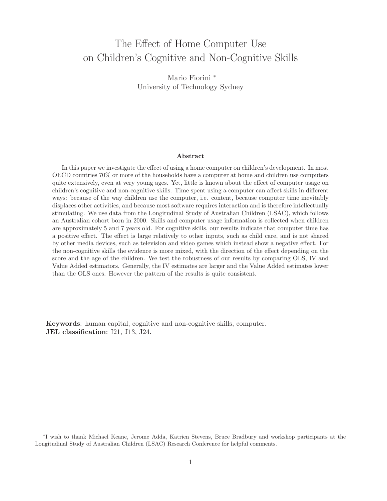# The Effect of Home Computer Use on Children's Cognitive and Non-Cognitive Skills

Mario Fiorini <sup>∗</sup> University of Technology Sydney

#### **Abstract**

In this paper we investigate the effect of using a home computer on children's development. In most OECD countries 70% or more of the households have a computer at home and children use computers quite extensively, even at very young ages. Yet, little is known about the effect of computer usage on children's cognitive and non-cognitive skills. Time spent using a computer can affect skills in different ways: because of the way children use the computer, i.e. content, because computer time inevitably displaces other activities, and because most software requires interaction and is therefore intellectually stimulating. We use data from the Longitudinal Study of Australian Children (LSAC), which follows an Australian cohort born in 2000. Skills and computer usage information is collected when children are approximately 5 and 7 years old. For cognitive skills, our results indicate that computer time has a positive effect. The effect is large relatively to other inputs, such as child care, and is not shared by other media devices, such as television and video games which instead show a negative effect. For the non-cognitive skills the evidence is more mixed, with the direction of the effect depending on the score and the age of the children. We test the robustness of our results by comparing OLS, IV and Value Added estimators. Generally, the IV estimates are larger and the Value Added estimates lower than the OLS ones. However the pattern of the results is quite consistent.

**Keywords**: human capital, cognitive and non-cognitive skills, computer. **JEL classification**: I21, J13, J24.

<sup>∗</sup>I wish to thank Michael Keane, Jerome Adda, Katrien Stevens, Bruce Bradbury and workshop participants at the Longitudinal Study of Australian Children (LSAC) Research Conference for helpful comments.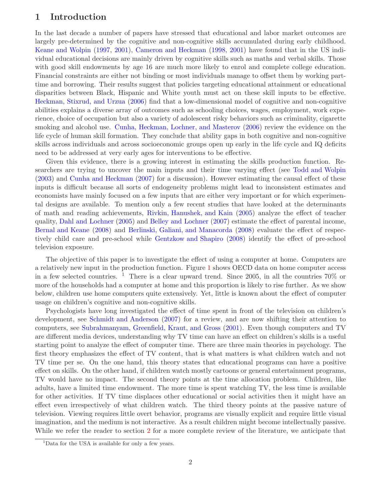## **1 Introduction**

In the last decade a number of papers have stressed that educational and labor market outcomes are largely pre-determined by the cognitive and non-cognitive skills accumulated during early childhood. [Keane and Wolpin](#page-29-0) [\(1997](#page-29-0), [2001](#page-29-1)), [Cameron and Heckman](#page-29-2) [\(1998,](#page-29-2) [2001\)](#page-29-3) have found that in the US individual educational decisions are mainly driven by cognitive skills such as maths and verbal skills. Those with good skill endowments by age 16 are much more likely to enrol and complete college education. Financial constraints are either not binding or most individuals manage to offset them by working parttime and borrowing. Their results suggest that policies targeting educational attainment or educational disparities between Black, Hispanic and White youth must act on these skill inputs to be effective. [Heckman, Stixrud, and Urzua](#page-29-4) [\(2006](#page-29-4)) find that a low-dimensional model of cognitive and non-cognitive abilities explains a diverse array of outcomes such as schooling choices, wages, employment, work experience, choice of occupation but also a variety of adolescent risky behaviors such as criminality, cigarette smoking and alcohol use. [Cunha, Heckman, Lochner, and Masterov](#page-29-5) [\(2006\)](#page-29-5) review the evidence on the life cycle of human skill formation. They conclude that ability gaps in both cognitive and non-cognitive skills across individuals and across socioeconomic groups open up early in the life cycle and IQ deficits need to be addressed at very early ages for interventions to be effective.

Given this evidence, there is a growing interest in estimating the skills production function. Researchers are trying to uncover the main inputs and their time varying effect (see [Todd and Wolpin](#page-30-0) [\(2003\)](#page-30-0) and [Cunha and Heckman](#page-29-6) [\(2007](#page-29-6)) for a discussion). However estimating the causal effect of these inputs is difficult because all sorts of endogeneity problems might lead to inconsistent estimates and economists have mainly focused on a few inputs that are either very important or for which experimental designs are available. To mention only a few recent studies that have looked at the determinants of math and reading achievements, [Rivkin, Hanushek, and Kain](#page-29-7) [\(2005](#page-29-7)) analyze the effect of teacher quality, [Dahl and Lochner](#page-29-8) [\(2005](#page-29-8)) and [Belley and Lochner](#page-29-9) [\(2007](#page-29-9)) estimate the effect of parental income, [Bernal and Keane](#page-29-10) [\(2008](#page-29-10)) and [Berlinski, Galiani, and Manacorda](#page-29-11) [\(2008](#page-29-11)) evaluate the effect of respectively child care and pre-school while [Gentzkow and Shapiro](#page-29-12) [\(2008](#page-29-12)) identify the effect of pre-school television exposure.

The objective of this paper is to investigate the effect of using a computer at home. Computers are a relatively new input in the production function. Figure [1](#page-2-0) shows OECD data on home computer access in a few selected countries. <sup>1</sup> There is a clear upward trend. Since 2005, in all the countries  $70\%$  or more of the households had a computer at home and this proportion is likely to rise further. As we show below, children use home computers quite extensively. Yet, little is known about the effect of computer usage on children's cognitive and non-cognitive skills.

Psychologists have long investigated the effect of time spent in front of the television on children's development, see [Schmidt and Anderson](#page-29-13) [\(2007\)](#page-29-13) for a review, and are now shifting their attention to computers, see [Subrahmanyam, Greenfield, Kraut, and Gross](#page-30-1) [\(2001\)](#page-30-1). Even though computers and TV are different media devices, understanding why TV time can have an effect on children's skills is a useful starting point to analyze the effect of computer time. There are three main theories in psychology. The first theory emphasizes the effect of TV content, that is what matters is what children watch and not TV time per se. On the one hand, this theory states that educational programs can have a positive effect on skills. On the other hand, if children watch mostly cartoons or general entertainment programs, TV would have no impact. The second theory points at the time allocation problem. Children, like adults, have a limited time endowment. The more time is spent watching TV, the less time is available for other activities. If TV time displaces other educational or social activities then it might have an effect even irrespectively of what children watch. The third theory points at the passive nature of television. Viewing requires little overt behavior, programs are visually explicit and require little visual imagination, and the medium is not interactive. As a result children might become intellectually passive. While we refer the reader to section [2](#page-3-0) for a more complete review of the literature, we anticipate that

<sup>&</sup>lt;sup>1</sup>Data for the USA is available for only a few years.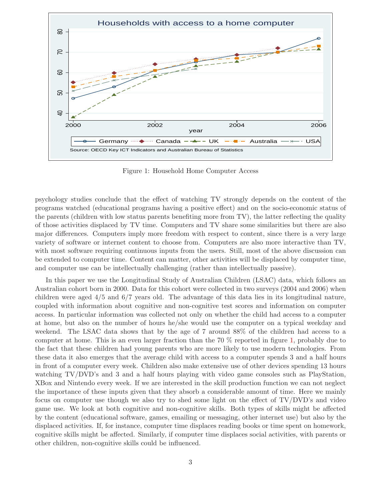

<span id="page-2-0"></span>Figure 1: Household Home Computer Access

psychology studies conclude that the effect of watching TV strongly depends on the content of the programs watched (educational programs having a positive effect) and on the socio-economic status of the parents (children with low status parents benefiting more from TV), the latter reflecting the quality of those activities displaced by TV time. Computers and TV share some similarities but there are also major differences. Computers imply more freedom with respect to content, since there is a very large variety of software or internet content to choose from. Computers are also more interactive than TV, with most software requiring continuous inputs from the users. Still, most of the above discussion can be extended to computer time. Content can matter, other activities will be displaced by computer time, and computer use can be intellectually challenging (rather than intellectually passive).

In this paper we use the Longitudinal Study of Australian Children (LSAC) data, which follows an Australian cohort born in 2000. Data for this cohort were collected in two surveys (2004 and 2006) when children were aged 4/5 and 6/7 years old. The advantage of this data lies in its longitudinal nature, coupled with information about cognitive and non-cognitive test scores and information on computer access. In particular information was collected not only on whether the child had access to a computer at home, but also on the number of hours he/she would use the computer on a typical weekday and weekend. The LSAC data shows that by the age of 7 around 88% of the children had access to a computer at home. This is an even larger fraction than the 70  $\%$  reported in figure [1,](#page-2-0) probably due to the fact that these children had young parents who are more likely to use modern technologies. From these data it also emerges that the average child with access to a computer spends 3 and a half hours in front of a computer every week. Children also make extensive use of other devices spending 13 hours watching TV/DVD's and 3 and a half hours playing with video game consoles such as PlayStation, XBox and Nintendo every week. If we are interested in the skill production function we can not neglect the importance of these inputs given that they absorb a considerable amount of time. Here we mainly focus on computer use though we also try to shed some light on the effect of TV/DVD's and video game use. We look at both cognitive and non-cognitive skills. Both types of skills might be affected by the content (educational software, games, emailing or messaging, other internet use) but also by the displaced activities. If, for instance, computer time displaces reading books or time spent on homework, cognitive skills might be affected. Similarly, if computer time displaces social activities, with parents or other children, non-cognitive skills could be influenced.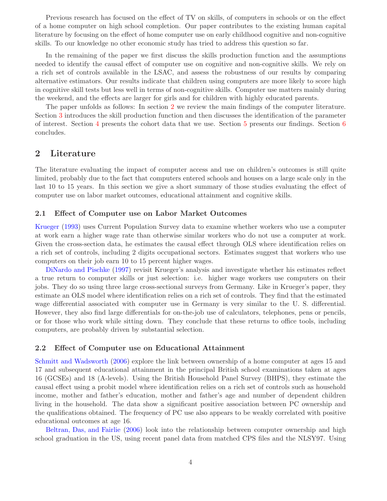Previous research has focused on the effect of TV on skills, of computers in schools or on the effect of a home computer on high school completion. Our paper contributes to the existing human capital literature by focusing on the effect of home computer use on early childhood cognitive and non-cognitive skills. To our knowledge no other economic study has tried to address this question so far.

In the remaining of the paper we first discuss the skills production function and the assumptions needed to identify the causal effect of computer use on cognitive and non-cognitive skills. We rely on a rich set of controls available in the LSAC, and assess the robustness of our results by comparing alternative estimators. Our results indicate that children using computers are more likely to score high in cognitive skill tests but less well in terms of non-cognitive skills. Computer use matters mainly during the weekend, and the effects are larger for girls and for children with highly educated parents.

The paper unfolds as follows: In section [2](#page-3-0) we review the main findings of the computer literature. Section [3](#page-5-0) introduces the skill production function and then discusses the identification of the parameter of interest. Section [4](#page-7-0) presents the cohort data that we use. Section [5](#page-12-0) presents our findings. Section [6](#page-18-0) concludes.

## <span id="page-3-0"></span>**2 Literature**

The literature evaluating the impact of computer access and use on children's outcomes is still quite limited, probably due to the fact that computers entered schools and houses on a large scale only in the last 10 to 15 years. In this section we give a short summary of those studies evaluating the effect of computer use on labor market outcomes, educational attainment and cognitive skills.

#### **2.1 Effect of Computer use on Labor Market Outcomes**

[Krueger](#page-29-14) [\(1993\)](#page-29-14) uses Current Population Survey data to examine whether workers who use a computer at work earn a higher wage rate than otherwise similar workers who do not use a computer at work. Given the cross-section data, he estimates the causal effect through OLS where identification relies on a rich set of controls, including 2 digits occupational sectors. Estimates suggest that workers who use computers on their job earn 10 to 15 percent higher wages.

[DiNardo and Pischke](#page-29-15) [\(1997\)](#page-29-15) revisit Krueger's analysis and investigate whether his estimates reflect a true return to computer skills or just selection: i.e. higher wage workers use computers on their jobs. They do so using three large cross-sectional surveys from Germany. Like in Krueger's paper, they estimate an OLS model where identification relies on a rich set of controls. They find that the estimated wage differential associated with computer use in Germany is very similar to the U. S. differential. However, they also find large differentials for on-the-job use of calculators, telephones, pens or pencils, or for those who work while sitting down. They conclude that these returns to office tools, including computers, are probably driven by substantial selection.

#### **2.2 Effect of Computer use on Educational Attainment**

[Schmitt and Wadsworth](#page-30-2) [\(2006\)](#page-30-2) explore the link between ownership of a home computer at ages 15 and 17 and subsequent educational attainment in the principal British school examinations taken at ages 16 (GCSEs) and 18 (A-levels). Using the British Household Panel Survey (BHPS), they estimate the causal effect using a probit model where identification relies on a rich set of controls such as household income, mother and father's education, mother and father's age and number of dependent children living in the household. The data show a significant positive association between PC ownership and the qualifications obtained. The frequency of PC use also appears to be weakly correlated with positive educational outcomes at age 16.

[Beltran, Das, and Fairlie](#page-29-16) [\(2006](#page-29-16)) look into the relationship between computer ownership and high school graduation in the US, using recent panel data from matched CPS files and the NLSY97. Using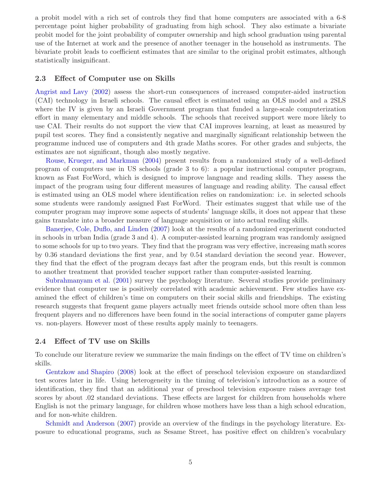a probit model with a rich set of controls they find that home computers are associated with a 6-8 percentage point higher probability of graduating from high school. They also estimate a bivariate probit model for the joint probability of computer ownership and high school graduation using parental use of the Internet at work and the presence of another teenager in the household as instruments. The bivariate probit leads to coefficient estimates that are similar to the original probit estimates, although statistically insignificant.

#### **2.3 Effect of Computer use on Skills**

[Angrist and Lavy](#page-29-17) [\(2002\)](#page-29-17) assess the short-run consequences of increased computer-aided instruction (CAI) technology in Israeli schools. The causal effect is estimated using an OLS model and a 2SLS where the IV is given by an Israeli Government program that funded a large-scale computerization effort in many elementary and middle schools. The schools that received support were more likely to use CAI. Their results do not support the view that CAI improves learning, at least as measured by pupil test scores. They find a consistently negative and marginally significant relationship between the programme induced use of computers and 4th grade Maths scores. For other grades and subjects, the estimates are not significant, though also mostly negative.

[Rouse, Krueger, and Markman](#page-29-18) [\(2004](#page-29-18)) present results from a randomized study of a well-defined program of computers use in US schools (grade 3 to 6): a popular instructional computer program, known as Fast ForWord, which is designed to improve language and reading skills. They assess the impact of the program using four different measures of language and reading ability. The causal effect is estimated using an OLS model where identification relies on randomization: i.e. in selected schools some students were randomly assigned Fast ForWord. Their estimates suggest that while use of the computer program may improve some aspects of students' language skills, it does not appear that these gains translate into a broader measure of language acquisition or into actual reading skills.

[Banerjee, Cole, Duflo, and Linden](#page-29-19) [\(2007\)](#page-29-19) look at the results of a randomized experiment conducted in schools in urban India (grade 3 and 4). A computer-assisted learning program was randomly assigned to some schools for up to two years. They find that the program was very effective, increasing math scores by 0.36 standard deviations the first year, and by 0.54 standard deviation the second year. However, they find that the effect of the program decays fast after the program ends, but this result is common to another treatment that provided teacher support rather than computer-assisted learning.

[Subrahmanyam et al.](#page-30-1) [\(2001\)](#page-30-1) survey the psychology literature. Several studies provide preliminary evidence that computer use is positively correlated with academic achievement. Few studies have examined the effect of children's time on computers on their social skills and friendships. The existing research suggests that frequent game players actually meet friends outside school more often than less frequent players and no differences have been found in the social interactions of computer game players vs. non-players. However most of these results apply mainly to teenagers.

#### **2.4 Effect of TV use on Skills**

To conclude our literature review we summarize the main findings on the effect of TV time on children's skills.

[Gentzkow and Shapiro](#page-29-12) [\(2008](#page-29-12)) look at the effect of preschool television exposure on standardized test scores later in life. Using heterogeneity in the timing of television's introduction as a source of identification, they find that an additional year of preschool television exposure raises average test scores by about .02 standard deviations. These effects are largest for children from households where English is not the primary language, for children whose mothers have less than a high school education, and for non-white children.

[Schmidt and Anderson](#page-29-13) [\(2007](#page-29-13)) provide an overview of the findings in the psychology literature. Exposure to educational programs, such as Sesame Street, has positive effect on children's vocabulary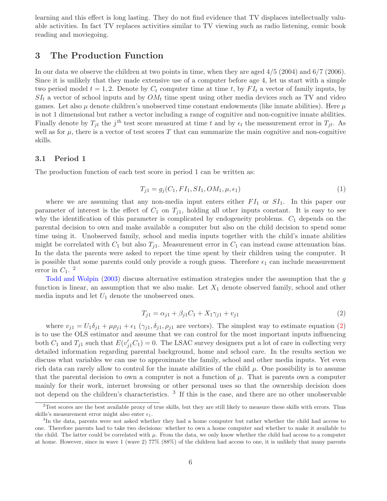learning and this effect is long lasting. They do not find evidence that TV displaces intellectually valuable activities. In fact TV replaces activities similar to TV viewing such as radio listening, comic book reading and moviegoing.

## <span id="page-5-0"></span>**3 The Production Function**

In our data we observe the children at two points in time, when they are aged 4/5 (2004) and 6/7 (2006). Since it is unlikely that they made extensive use of a computer before age 4, let us start with a simple two period model  $t = 1, 2$ . Denote by  $C_t$  computer time at time t, by  $FI_t$  a vector of family inputs, by  $SI_t$  a vector of school inputs and by  $OM_t$  time spent using other media devices such as TV and video games. Let also  $\mu$  denote children's unobserved time constant endowments (like innate abilities). Here  $\mu$ is not 1 dimensional but rather a vector including a range of cognitive and non-cognitive innate abilities. Finally denote by  $T_{jt}$  the  $j^{th}$  test score measured at time t and by  $\epsilon_t$  the measurement error in  $T_{jt}$ . As well as for  $\mu$ , there is a vector of test scores T that can summarize the main cognitive and non-cognitive skills.

#### <span id="page-5-2"></span>**3.1 Period 1**

The production function of each test score in period 1 can be written as:

$$
T_{j1} = g_j(C_1, FI_1, SI_1, OM_1, \mu, \epsilon_1)
$$
\n(1)

where we are assuming that any non-media input enters either  $FI_1$  or  $SI_1$ . In this paper our parameter of interest is the effect of  $C_1$  on  $T_{i1}$ , holding all other inputs constant. It is easy to see why the identification of this parameter is complicated by endogeneity problems.  $C_1$  depends on the parental decision to own and make available a computer but also on the child decision to spend some time using it. Unobserved family, school and media inputs together with the child's innate abilities might be correlated with  $C_1$  but also  $T_{i1}$ . Measurement error in  $C_1$  can instead cause attenuation bias. In the data the parents were asked to report the time spent by their children using the computer. It is possible that some parents could only provide a rough guess. Therefore  $\epsilon_1$  can include measurement<br>organization of  $C_1$   $\epsilon_2$ error in  $C_1$ . <sup>2</sup>

[Todd and Wolpin](#page-30-0) [\(2003](#page-30-0)) discuss alternative estimation strategies under the assumption that the g function is linear, an assumption that we also make. Let  $X_1$  denote observed family, school and other media inputs and let  $U_1$  denote the unobserved ones.

<span id="page-5-1"></span>
$$
T_{j1} = \alpha_{j1} + \beta_{j1}C_1 + X_1\gamma_{j1} + v_{j1}
$$
\n(2)

where  $v_{j1} = U_1 \delta_{j1} + \mu \rho_{j1} + \epsilon_1 (\gamma_{j1}, \delta_{j1}, \rho_{j1})$  are vectors). The simplest way to estimate equation [\(2\)](#page-5-1) is to use the OLS estimator and assume that we can control for the most important inputs influencing both  $C_1$  and  $T_{j1}$  such that  $E(v'_{j1}C_1) = 0$ . The LSAC survey designers put a lot of care in collecting very designers of school care. In the results section we detailed information regarding parental background, home and school care. In the results section we discuss what variables we can use to approximate the family, school and other media inputs. Yet even rich data can rarely allow to control for the innate abilities of the child  $\mu$ . One possibility is to assume that the parental decision to own a computer is not a function of  $\mu$ . That is parents own a computer mainly for their work, internet browsing or other personal uses so that the ownership decision does not depend on the children's characteristics. <sup>3</sup> If this is the case, and there are no other unobservable

 $2$ Test scores are the best available proxy of true skills, but they are still likely to measure these skills with errors. Thus skills's measurement error might also enter  $\epsilon_1$ .

<sup>&</sup>lt;sup>3</sup>In the data, parents were not asked whether they had a home computer but rather whether the child had access to one. Therefore parents had to take two decisions: whether to own a home computer and whether to make it available to the child. The latter could be correlated with  $\mu$ . From the data, we only know whether the child had access to a computer at home. However, since in wave 1 (wave 2) 77% (88%) of the children had access to one, it is unlikely that many parents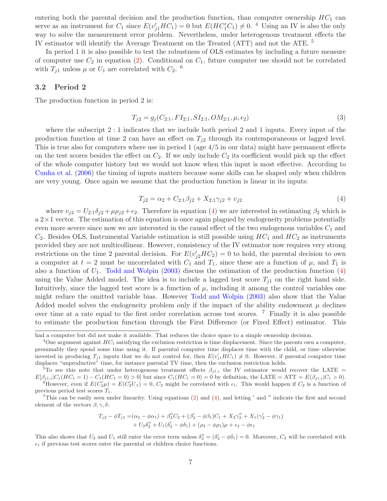entering both the parental decision and the production function, than computer ownership  $HC_1$  can serve as an instrument for  $C_1$  since  $E(v'_{j1}HC_1) = 0$  but  $E(HC'_1C_1) \neq 0$ . <sup>4</sup> Using an IV is also the only way to solve the measurement error problem. Nevertheless, under heterogenous treatment effects the IV estimator will identify the Average Treatment on the Treated  $(ATT)$  and not the ATE.  $\delta$ 

In period 1 it is also possible to test the robustness of OLS estimates by including a future measure of computer use  $C_2$  in equation [\(2\)](#page-5-1). Conditional on  $C_1$ , future computer use should not be correlated with  $T_{j1}$  unless  $\mu$  or  $U_1$  are correlated with  $C_2$ . <sup>6</sup>

#### <span id="page-6-1"></span>**3.2 Period 2**

The production function in period 2 is:

$$
T_{j2} = g_j(C_{2:1}, FI_{2:1}, SI_{2:1}, OM_{2:1}, \mu, \epsilon_2)
$$
\n(3)

where the subscript 2 : 1 indicates that we include both period 2 and 1 inputs. Every input of the production function at time 2 can have an effect on  $T_{j2}$  through its contemporaneous or lagged level. This is true also for computers where use in period 1 (age 4/5 in our data) might have permanent effects on the test scores besides the effect on  $C_2$ . If we only include  $C_2$  its coefficient would pick up the effect of the whole computer history but we would not know when this input is most effective. According to [Cunha et al.](#page-29-5) [\(2006](#page-29-5)) the timing of inputs matters because some skills can be shaped only when children are very young. Once again we assume that the production function is linear in its inputs:

<span id="page-6-0"></span>
$$
T_{j2} = \alpha_2 + C_{2:1}\beta_{j2} + X_{2:1}\gamma_{j2} + v_{j2}
$$
\n<sup>(4)</sup>

where  $v_{j2} = U_{2,1}\delta_{j2} + \mu \rho_{j2} + \epsilon_2$ . Therefore in equation [\(4\)](#page-6-0) we are interested in estimating  $\beta_2$  which is  $a$  2 $\times$ 1 vector. The estimation of this equation is once again plagued by endogeneity problems potentially even more severe since now we are interested in the causal effect of the two endogenous variables  $C_1$  and  $C_2$ . Besides OLS, Instrumental Variable estimation is still possible using  $HC_1$  and  $HC_2$  as instruments provided they are not multicollinear. However, consistency of the IV estimator now requires very strong restrictions on the time 2 parental decision. For  $E(v'_2 H C_2) = 0$  to hold, the parental decision to own a computer at  $t = 2$  must be uncorrelated with  $C_1$  and  $T_1$ , since these are a function of  $\mu$ , and  $T_1$  is also a function of  $U_1$ . [Todd and Wolpin](#page-30-0) [\(2003](#page-30-0)) discuss the estimation of the production function [\(4\)](#page-6-0) using the Value Added model. The idea is to include a lagged test score  $T_{i1}$  on the right hand side. Intuitively, since the lagged test score is a function of  $\mu$ , including it among the control variables one might reduce the omitted variable bias. However [Todd and Wolpin](#page-30-0) [\(2003](#page-30-0)) also show that the Value Added model solves the endogeneity problem only if the impact of the ability endowment  $\mu$  declines over time at a rate equal to the first order correlation across test scores. <sup>7</sup> Finally it is also possible to estimate the production function through the First Difference (or Fixed Effect) estimator. This

$$
T_{j2} - \phi T_{j1} = (\alpha_2 - \phi \alpha_1) + \beta_2'' C_2 + (\beta_2' - \phi \beta_1) C_1 + X_2 \gamma_2'' + X_1 (\gamma_2' - \phi \gamma_1) + U_2 \delta_2'' + U_1 (\delta_2' - \phi \delta_1) + (\rho_2 - \phi \rho_1) \mu + \epsilon_2 - \phi \epsilon_1
$$

had a computer but did not make it available. That reduces the choice space to a simple ownership decision.

<sup>&</sup>lt;sup>4</sup>One argument against  $HC_1$  satisfying the exclusion restriction is time displacement. Since the parents own a computer, presumably they spend some time using it. If parental computer time displaces time with the child, or time otherwise invested in producing  $T_{j1}$  inputs that we do not control for, then  $E(v'_{j1}HC_1) \neq 0$ . However, if parental computer time displaces "unproductive" time, for instance parental TV time, then the exclusion restriction holds.

<sup>&</sup>lt;sup>5</sup>To see this note that under heterogenous treatment effects  $\beta_{j1,i}$  the IV estimator would recover the LATE =  $E[\beta_{j1,i}|C_1(HC_1=1)-C_1(HC_1=0)>0]$  but since  $C_1(HC_1=0)=0$  by definition, the LATE = ATT =  $E(\beta_{j1,i}|C_1>0)$ .<br>
<sup>6</sup>However, even if  $E(C_2'\mu)=E(C_2'U_1)=0$ ,  $C_2$  might be correlated with  $\epsilon_1$ . This would happen if  $C_2$  is a f previous period test scores  $T_1$ .

<sup>&</sup>lt;sup>7</sup>This can be easily seen under linearity. Using equations  $(2)$  and  $(4)$ , and letting  $'$  and  $''$  indicate the first and second element of the vectors  $\beta$ ,  $\gamma$ ,  $\delta$ :

This also shows that  $U_2$  and  $U_1$  still enter the error term unless  $\delta_2'' = (\delta_2' - \phi \delta_1) = 0$ . Moreover,  $C_2$  will be correlated with  $\epsilon_1$  if previous test scores enter the parental or children choice functions.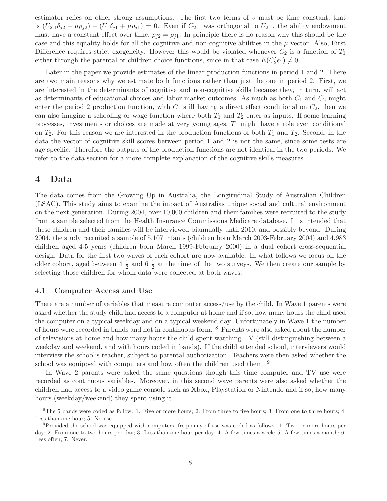estimator relies on other strong assumptions. The first two terms of  $v$  must be time constant, that is  $(U_{2:1}\delta_{j2} + \mu \rho_{j2}) - (U_1\delta_{j1} + \mu \rho_{j1}) = 0$ . Even if  $C_{2:1}$  was orthogonal to  $U_{2:1}$ , the ability endowment must have a constant effect over time,  $\rho_{i2} = \rho_{i1}$ . In principle there is no reason why this should be the case and this equality holds for all the cognitive and non-cognitive abilities in the  $\mu$  vector. Also, First Difference requires strict exogeneity. However this would be violated whenever  $C_2$  is a function of  $T_1$ either through the parental or children choice functions, since in that case  $E(C'_2 \epsilon_1) \neq 0$ .

Later in the paper we provide estimates of the linear production functions in period 1 and 2. There are two main reasons why we estimate both functions rather than just the one in period 2. First, we are interested in the determinants of cognitive and non-cognitive skills because they, in turn, will act as determinants of educational choices and labor market outcomes. As much as both  $C_1$  and  $C_2$  might enter the period 2 production function, with  $C_1$  still having a direct effect conditional on  $C_2$ , then we can also imagine a schooling or wage function where both  $T_1$  and  $T_2$  enter as inputs. If some learning processes, investments or choices are made at very young ages,  $T_1$  might have a role even conditional on  $T_2$ . For this reason we are interested in the production functions of both  $T_1$  and  $T_2$ . Second, in the data the vector of cognitive skill scores between period 1 and 2 is not the same, since some tests are age specific. Therefore the outputs of the production functions are not identical in the two periods. We refer to the data section for a more complete explanation of the cognitive skills measures.

## <span id="page-7-0"></span>**4 Data**

The data comes from the Growing Up in Australia, the Longitudinal Study of Australian Children (LSAC). This study aims to examine the impact of Australias unique social and cultural environment on the next generation. During 2004, over 10,000 children and their families were recruited to the study from a sample selected from the Health Insurance Commissions Medicare database. It is intended that these children and their families will be interviewed biannually until 2010, and possibly beyond. During 2004, the study recruited a sample of 5,107 infants (children born March 2003-February 2004) and 4,983 children aged 4-5 years (children born March 1999-February 2000) in a dual cohort cross-sequential design. Data for the first two waves of each cohort are now available. In what follows we focus on the older cohort, aged between  $4\frac{1}{2}$  and  $6\frac{1}{2}$  at the time of the two surveys. We then create our sample by selecting those children for whom data were collected at both waves.

#### **4.1 Computer Access and Use**

There are a number of variables that measure computer access/use by the child. In Wave 1 parents were asked whether the study child had access to a computer at home and if so, how many hours the child used the computer on a typical weekday and on a typical weekend day. Unfortunately in Wave 1 the number of hours were recorded in bands and not in continuous form. <sup>8</sup> Parents were also asked about the number of televisions at home and how many hours the child spent watching TV (still distinguishing between a weekday and weekend, and with hours coded in bands). If the child attended school, interviewers would interview the school's teacher, subject to parental authorization. Teachers were then asked whether the school was equipped with computers and how often the children used them. <sup>9</sup>

In Wave 2 parents were asked the same questions though this time computer and TV use were recorded as continuous variables. Moreover, in this second wave parents were also asked whether the children had access to a video game console such as Xbox, Playstation or Nintendo and if so, how many hours (weekday/weekend) they spent using it.

 ${}^{8}$ The 5 bands were coded as follow: 1. Five or more hours; 2. From three to five hours; 3. From one to three hours; 4. Less than one hour; 5. No use.

<sup>9</sup>Provided the school was equipped with computers, frequency of use was coded as follows: 1. Two or more hours per day; 2. From one to two hours per day; 3. Less than one hour per day; 4. A few times a week; 5. A few times a month; 6. Less often; 7. Never.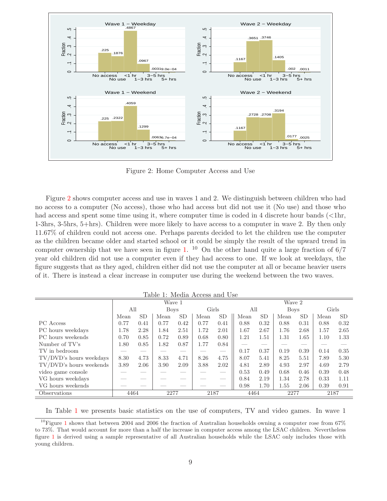

<span id="page-8-0"></span>Figure 2: Home Computer Access and Use

Figure [2](#page-8-0) shows computer access and use in waves 1 and 2. We distinguish between children who had no access to a computer (No access), those who had access but did not use it (No use) and those who had access and spent some time using it, where computer time is coded in 4 discrete hour bands  $\langle \langle 1 \text{hr}, \rangle$ 1-3hrs, 3-5hrs, 5+hrs). Children were more likely to have access to a computer in wave 2. By then only 11.67% of children could not access one. Perhaps parents decided to let the children use the computer as the children became older and started school or it could be simply the result of the upward trend in computer ownership that we have seen in figure [1.](#page-2-0) <sup>10</sup> On the other hand quite a large fraction of  $6/7$ year old children did not use a computer even if they had access to one. If we look at weekdays, the figure suggests that as they aged, children either did not use the computer at all or became heavier users of it. There is instead a clear increase in computer use during the weekend between the two waves.

<span id="page-8-1"></span>Table 1: Media Access and Use

|                                |      |           | Wave 1      |      |       |                                |        |                          | Wave 2      |           |       |           |
|--------------------------------|------|-----------|-------------|------|-------|--------------------------------|--------|--------------------------|-------------|-----------|-------|-----------|
|                                | All  |           | <b>Boys</b> |      | Girls |                                | All    |                          | <b>Boys</b> |           | Girls |           |
|                                | Mean | <b>SD</b> | Mean        | SD   | Mean  | SD                             | Mean   | <b>SD</b>                | Mean        | <b>SD</b> | Mean  | <b>SD</b> |
| PC Access                      | 0.77 | 0.41      | 0.77        | 0.42 | 0.77  | 0.41                           | 0.88   | 0.32                     | 0.88        | 0.31      | 0.88  | 0.32      |
| PC hours weekdays              | 1.78 | 2.28      | 1.84        | 2.51 | 1.72  | 2.01                           | 1.67   | 2.67                     | 1.76        | 2.68      | 1.57  | 2.65      |
| PC hours weekends              | 0.70 | 0.85      | 0.72        | 0.89 | 0.68  | 0.80                           | 1.21   | 1.51                     | 1.31        | 1.65      | 1.10  | 1.33      |
| Number of TV's                 | 1.80 | 0.85      | 1.82        | 0.87 | 1.77  | 0.84                           | $\sim$ | $\overline{\phantom{a}}$ |             |           |       |           |
| TV in bedroom                  |      |           |             |      |       | $\overbrace{\hspace{25mm}}^{}$ | 0.17   | 0.37                     | 0.19        | 0.39      | 0.14  | 0.35      |
| TV/DVD's hours weekdays        | 8.30 | 4.73      | 8.33        | 4.71 | 8.26  | 4.75                           | 8.07   | 5.41                     | 8.25        | 5.51      | 7.89  | 5.30      |
| $\rm TV/DVD$ is hours weekends | 3.89 | 2.06      | 3.90        | 2.09 | 3.88  | 2.02                           | 4.81   | 2.89                     | 4.93        | 2.97      | 4.69  | 2.79      |
| video game console             |      |           |             |      |       |                                | 0.53   | 0.49                     | 0.68        | 0.46      | 0.39  | 0.48      |
| VG hours weekdays              |      |           |             |      |       |                                | 0.84   | 2.19                     | 1.34        | 2.78      | 0.33  | 1.11      |
| VG hours weekends              |      |           |             |      |       |                                | 0.98   | 1.70                     | 1.55        | 2.06      | 0.39  | 0.91      |
| Observations                   | 4464 |           | 2277        |      | 2187  |                                | 4464   |                          | 2277        |           | 2187  |           |

In Table [1](#page-8-1) we presents basic statistics on the use of computers, TV and video games. In wave 1

<sup>&</sup>lt;sup>[1](#page-2-0)0</sup>Figure 1 shows that between 2004 and 2006 the fraction of Australian households owning a computer rose from 67% to 73%. That would account for more than a half the increase in computer access among the LSAC children. Nevertheless figure [1](#page-2-0) is derived using a sample representative of all Australian households while the LSAC only includes those with young children.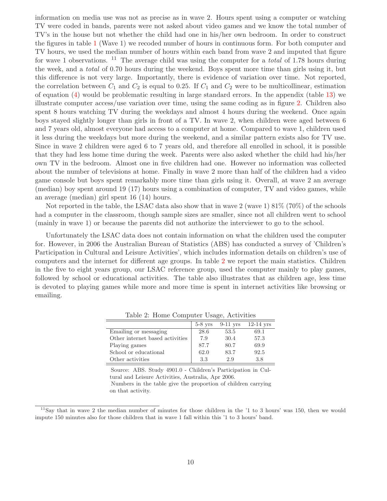information on media use was not as precise as in wave 2. Hours spent using a computer or watching TV were coded in bands, parents were not asked about video games and we know the total number of TV's in the house but not whether the child had one in his/her own bedroom. In order to construct the figures in table [1](#page-8-1) (Wave 1) we recoded number of hours in continuous form. For both computer and TV hours, we used the median number of hours within each band from wave 2 and imputed that figure for wave 1 observations. <sup>11</sup> The average child was using the computer for a *total* of 1.78 hours during the week, and a *total* of 0.70 hours during the weekend. Boys spent more time than girls using it, but this difference is not very large. Importantly, there is evidence of variation over time. Not reported, the correlation between  $C_1$  and  $C_2$  is equal to 0.25. If  $C_1$  and  $C_2$  were to be multicollinear, estimation of equation [\(4\)](#page-6-0) would be problematic resulting in large standard errors. In the appendix (table [13\)](#page-25-0) we illustrate computer access/use variation over time, using the same coding as in figure [2.](#page-8-0) Children also spent 8 hours watching TV during the weekdays and almost 4 hours during the weekend. Once again boys stayed slightly longer than girls in front of a TV. In wave 2, when children were aged between 6 and 7 years old, almost everyone had access to a computer at home. Compared to wave 1, children used it less during the weekdays but more during the weekend, and a similar pattern exists also for TV use. Since in wave 2 children were aged 6 to 7 years old, and therefore all enrolled in school, it is possible that they had less home time during the week. Parents were also asked whether the child had his/her own TV in the bedroom. Almost one in five children had one. However no information was collected about the number of televisions at home. Finally in wave 2 more than half of the children had a video game console but boys spent remarkably more time than girls using it. Overall, at wave 2 an average (median) boy spent around 19 (17) hours using a combination of computer, TV and video games, while an average (median) girl spent 16 (14) hours.

Not reported in the table, the LSAC data also show that in wave 2 (wave 1)  $81\%$  (70%) of the schools had a computer in the classroom, though sample sizes are smaller, since not all children went to school (mainly in wave 1) or because the parents did not authorize the interviewer to go to the school.

Unfortunately the LSAC data does not contain information on what the children used the computer for. However, in 2006 the Australian Bureau of Statistics (ABS) has conducted a survey of 'Children's Participation in Cultural and Leisure Activities', which includes information details on children's use of computers and the internet for different age groups. In table [2](#page-9-0) we report the main statistics. Children in the five to eight years group, our LSAC reference group, used the computer mainly to play games, followed by school or educational activities. The table also illustrates that as children age, less time is devoted to playing games while more and more time is spent in internet activities like browsing or emailing.

|                                 | $5-8$ yrs | $9-11$ yrs | $12-14$ yrs |
|---------------------------------|-----------|------------|-------------|
| Emailing or messaging           | 28.6      | 53.5       | 69.1        |
| Other internet based activities | 7.9       | 30.4       | 57.3        |
| Playing games                   | 87.7      | 80.7       | 69.9        |
| School or educational           | 62.0      | 83.7       | 92.5        |
| Other activities                | 3.3       | 2.9        | 3.8         |

<span id="page-9-0"></span>Table 2: Home Computer Usage, Activities

Source: ABS. Study 4901.0 - Children's Participation in Cultural and Leisure Activities, Australia, Apr 2006. Numbers in the table give the proportion of children carrying

on that activity.

 $11$ Say that in wave 2 the median number of minutes for those children in the  $1$  to 3 hours' was 150, then we would impute 150 minutes also for those children that in wave 1 fall within this '1 to 3 hours' band.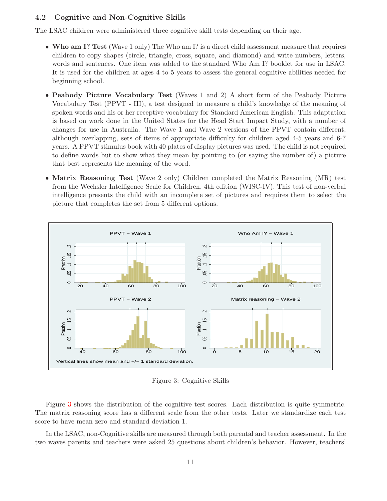## **4.2 Cognitive and Non-Cognitive Skills**

The LSAC children were administered three cognitive skill tests depending on their age.

- **Who am I? Test** (Wave 1 only) The Who am I? is a direct child assessment measure that requires children to copy shapes (circle, triangle, cross, square, and diamond) and write numbers, letters, words and sentences. One item was added to the standard Who Am I? booklet for use in LSAC. It is used for the children at ages 4 to 5 years to assess the general cognitive abilities needed for beginning school.
- **Peabody Picture Vocabulary Test** (Waves 1 and 2) A short form of the Peabody Picture Vocabulary Test (PPVT - III), a test designed to measure a child's knowledge of the meaning of spoken words and his or her receptive vocabulary for Standard American English. This adaptation is based on work done in the United States for the Head Start Impact Study, with a number of changes for use in Australia. The Wave 1 and Wave 2 versions of the PPVT contain different, although overlapping, sets of items of appropriate difficulty for children aged 4-5 years and 6-7 years. A PPVT stimulus book with 40 plates of display pictures was used. The child is not required to define words but to show what they mean by pointing to (or saying the number of) a picture that best represents the meaning of the word.
- **Matrix Reasoning Test** (Wave 2 only) Children completed the Matrix Reasoning (MR) test from the Wechsler Intelligence Scale for Children, 4th edition (WISC-IV). This test of non-verbal intelligence presents the child with an incomplete set of pictures and requires them to select the picture that completes the set from 5 different options.



<span id="page-10-0"></span>Figure 3: Cognitive Skills

Figure [3](#page-10-0) shows the distribution of the cognitive test scores. Each distribution is quite symmetric. The matrix reasoning score has a different scale from the other tests. Later we standardize each test score to have mean zero and standard deviation 1.

In the LSAC, non-Cognitive skills are measured through both parental and teacher assessment. In the two waves parents and teachers were asked 25 questions about children's behavior. However, teachers'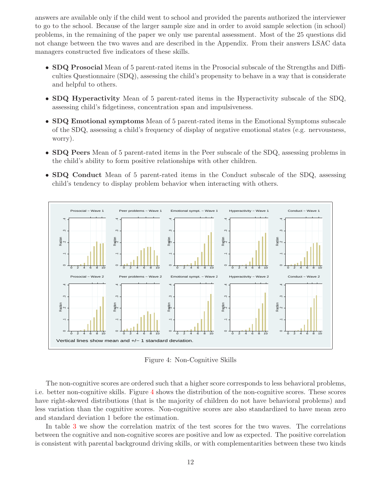answers are available only if the child went to school and provided the parents authorized the interviewer to go to the school. Because of the larger sample size and in order to avoid sample selection (in school) problems, in the remaining of the paper we only use parental assessment. Most of the 25 questions did not change between the two waves and are described in the Appendix. From their answers LSAC data managers constructed five indicators of these skills.

- **SDQ Prosocial** Mean of 5 parent-rated items in the Prosocial subscale of the Strengths and Difficulties Questionnaire (SDQ), assessing the child's propensity to behave in a way that is considerate and helpful to others.
- **SDQ Hyperactivity** Mean of 5 parent-rated items in the Hyperactivity subscale of the SDQ, assessing child's fidgetiness, concentration span and impulsiveness.
- **SDQ Emotional symptoms** Mean of 5 parent-rated items in the Emotional Symptoms subscale of the SDQ, assessing a child's frequency of display of negative emotional states (e.g. nervousness, worry).
- **SDQ Peers** Mean of 5 parent-rated items in the Peer subscale of the SDQ, assessing problems in the child's ability to form positive relationships with other children.
- **SDQ Conduct** Mean of 5 parent-rated items in the Conduct subscale of the SDQ, assessing child's tendency to display problem behavior when interacting with others.



<span id="page-11-0"></span>Figure 4: Non-Cognitive Skills

The non-cognitive scores are ordered such that a higher score corresponds to less behavioral problems, i.e. better non-cognitive skills. Figure [4](#page-11-0) shows the distribution of the non-cognitive scores. These scores have right-skewed distributions (that is the majority of children do not have behavioral problems) and less variation than the cognitive scores. Non-cognitive scores are also standardized to have mean zero and standard deviation 1 before the estimation.

In table [3](#page-12-1) we show the correlation matrix of the test scores for the two waves. The correlations between the cognitive and non-cognitive scores are positive and low as expected. The positive correlation is consistent with parental background driving skills, or with complementarities between these two kinds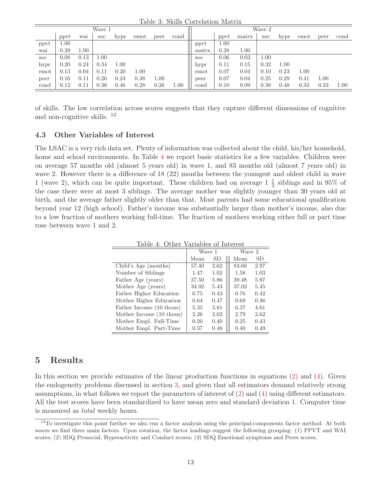<span id="page-12-1"></span>Table 3: Skills Correlation Matrix

|            |      |      | Wave 1     |      |      |      |           |            |      |       | Wave 2     |      |          |      |      |
|------------|------|------|------------|------|------|------|-----------|------------|------|-------|------------|------|----------|------|------|
|            | ppyt | wai  | <b>SOC</b> | hypr | emot | peer | cond      |            | ppvt | matrx | <b>SOC</b> | hypr | emot     | peer | cond |
| ppvt       | 1.00 |      |            |      |      |      |           | ppvt       | 1.00 |       |            |      |          |      |      |
| wai        | 0.29 | 1.00 |            |      |      |      |           | matrx      | 0.28 | 1.00  |            |      |          |      |      |
| <b>SOC</b> | 0.08 | 0.13 | $1.00\,$   |      |      |      |           | <b>SOC</b> | 0.06 | 0.03  | 1.00       |      |          |      |      |
| hypr       | 0.20 | 0.24 | 0.34       | 1.00 |      |      |           | hypr       | 0.11 | 0.15  | 0.32       | 1.00 |          |      |      |
| emot       | 0.13 | 0.04 | 0.11       | 0.20 | 1.00 |      |           | emot       | 0.07 | 0.04  | 0.10       | 0.23 | $1.00\,$ |      |      |
| peer       | 0.16 | 0.11 | 0.26       | 0.24 | 0.38 | 1.00 |           | peer       | 0.07 | 0.04  | 0.25       | 0.29 | 0.41     | 1.00 |      |
| cond       | 0.12 | 0.11 | 0.38       | 0.46 | 0.28 | 0.26 | $_{1.00}$ | cond       | 0.10 | 0.09  | 0.38       | 0.48 | 0.33     | 0.33 | 1.00 |
|            |      |      |            |      |      |      |           |            |      |       |            |      |          |      |      |

of skills. The low correlation across scores suggests that they capture different dimensions of cognitive and non-cognitive skills. <sup>12</sup>

#### **4.3 Other Variables of Interest**

The LSAC is a very rich data set. Plenty of information was collected about the child, his/her household, home and school environments. In Table [4](#page-12-2) we report basic statistics for a few variables. Children were on average 57 months old (almost 5 years old) in wave 1, and 83 months old (almost 7 years old) in wave 2. However there is a difference of 18 (22) months between the youngest and oldest child in wave 1 (wave 2), which can be quite important. These children had on average  $1\frac{1}{2}$  siblings and in 95% of the case there were at most 3 siblings. The average mother was slightly younger than 30 years old at birth, and the average father slightly older than that. Most parents had some educational qualification beyond year 12 (high school). Father's income was substantially larger than mother's income, also due to a low fraction of mothers working full-time. The fraction of mothers working either full or part time rose between wave 1 and 2.

<span id="page-12-2"></span>Table 4: Other Variables of Interest

|                          | Wave 1 |      | Wave 2 |      |
|--------------------------|--------|------|--------|------|
|                          | Mean   | SD   | Mean   | SD.  |
| Child's Age (months)     | 57.40  | 2.62 | 83.66  | 2.97 |
| Number of Siblings       | 1.47   | 1.02 | 1.58   | 1.03 |
| Father Age (years)       | 37.50  | 5.86 | 39.48  | 5.97 |
| Mother Age (years)       | 34.92  | 5.43 | 37.02  | 5.45 |
| Father Higher Education  | 0.75   | 0.43 | 0.76   | 0.42 |
| Mother Higher Education  | 0.64   | 0.47 | 0.68   | 0.46 |
| Father Income (10 thous) | 5.35   | 3.81 | 6.37   | 4.61 |
| Mother Income (10 thous) | 2.26   | 2.02 | 2.79   | 2.62 |
| Mother Empl. Full-Time   | 0.20   | 0.40 | 0.25   | 0.43 |
| Mother Empl. Part-Time   | 0.37   | 0.48 | 0.40   | 0.49 |

## <span id="page-12-0"></span>**5 Results**

In this section we provide estimates of the linear production functions in equations [\(2\)](#page-5-1) and [\(4\)](#page-6-0). Given the endogeneity problems discussed in section [3,](#page-5-0) and given that all estimators demand relatively strong assumptions, in what follows we report the parameters of interest of [\(2\)](#page-5-1) and [\(4\)](#page-6-0) using different estimators. All the test scores have been standardized to have mean zero and standard deviation 1. Computer time is measured as *total* weekly hours.

 $12$ To investigate this point further we also run a factor analysis using the principal-components factor method. At both waves we find three main factors. Upon rotation, the factor loadings suggest the following grouping: (1) PPVT and WAI scores; (2) SDQ Prosocial, Hyperactivity and Conduct scores; (3) SDQ Emotional symptoms and Peers scores.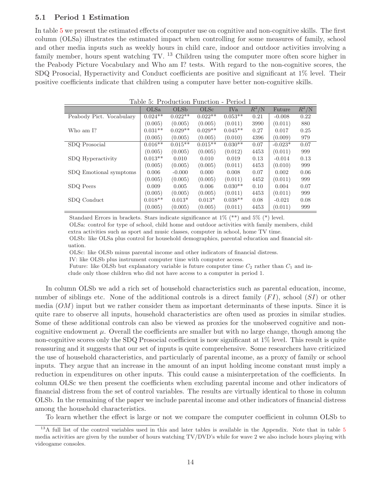#### <span id="page-13-1"></span>**5.1 Period 1 Estimation**

Ī

In table [5](#page-13-0) we present the estimated effects of computer use on cognitive and non-cognitive skills. The first column (OLSa) illustrates the estimated impact when controlling for some measures of family, school and other media inputs such as weekly hours in child care, indoor and outdoor activities involving a family member, hours spent watching TV.  $^{13}$  Children using the computer more often score higher in the Peabody Picture Vocabulary and Who am I? tests. With regard to the non-cognitive scores, the SDQ Prosocial, Hyperactivity and Conduct coefficients are positive and significant at 1% level. Their positive coefficients indicate that children using a computer have better non-cognitive skills.

<span id="page-13-0"></span>

|                          |           | Table 5: Production Function - Period 1 |                  |           |                    |           |                   |
|--------------------------|-----------|-----------------------------------------|------------------|-----------|--------------------|-----------|-------------------|
|                          | OLSa      | OLSb                                    | OLS <sub>c</sub> | IVa       | $\bar{R}^2/\rm{N}$ | Future    | $\bar{R}^2/\rm N$ |
| Peabody Pict. Vocabulary | $0.024**$ | $0.022**$                               | $0.022**$        | $0.053**$ | 0.21               | $-0.008$  | 0.22              |
|                          | (0.005)   | (0.005)                                 | (0.005)          | (0.011)   | 3990               | (0.011)   | 880               |
| Who am I?                | $0.031**$ | $0.029**$                               | $0.029**$        | $0.045**$ | 0.27               | 0.017     | 0.25              |
|                          | (0.005)   | (0.005)                                 | (0.005)          | (0.010)   | 4396               | (0.009)   | 979               |
| SDQ Prosocial            | $0.016**$ | $0.015**$                               | $0.015**$        | $0.030**$ | 0.07               | $-0.023*$ | 0.07              |
|                          | (0.005)   | (0.005)                                 | (0.005)          | (0.012)   | 4453               | (0.011)   | 999               |
| SDQ Hyperactivity        | $0.013**$ | 0.010                                   | 0.010            | 0.019     | 0.13               | $-0.014$  | 0.13              |
|                          | (0.005)   | (0.005)                                 | (0.005)          | (0.011)   | 4453               | (0.010)   | 999               |
| SDQ Emotional symptoms   | 0.006     | $-0.000$                                | 0.000            | 0.008     | 0.07               | 0.002     | 0.06              |
|                          | (0.005)   | (0.005)                                 | (0.005)          | (0.011)   | 4452               | (0.011)   | 999               |
| SDQ Peers                | 0.009     | 0.005                                   | 0.006            | $0.030**$ | 0.10               | 0.004     | 0.07              |
|                          | (0.005)   | (0.005)                                 | (0.005)          | (0.011)   | 4453               | (0.011)   | 999               |
| SDQ Conduct              | $0.018**$ | $0.013*$                                | $0.013*$         | $0.038**$ | 0.08               | $-0.021$  | 0.08              |
|                          | (0.005)   | (0.005)                                 | (0.005)          | (0.011)   | 4453               | (0.011)   | 999               |

Standard Errors in brackets. Stars indicate significance at  $1\%$  (\*\*) and  $5\%$  (\*) level.

OLSa: control for type of school, child home and outdoor activities with family members, child extra activities such as sport and music classes, computer in school, home TV time.

OLSb: like OLSa plus control for household demographics, parental education and financial situation.

OLSc: like OLSb minus parental income and other indicators of financial distress.

IV: like OLSb plus instrument computer time with computer access.

Future: like OLSb but explanatory variable is future computer time  $C_2$  rather than  $C_1$  and in-

clude only those children who did not have access to a computer in period 1.

In column OLSb we add a rich set of household characteristics such as parental education, income, number of siblings etc. None of the additional controls is a direct family  $(FI)$ , school  $(SI)$  or other media  $(OM)$  input but we rather consider them as important determinants of these inputs. Since it is quite rare to observe all inputs, household characteristics are often used as proxies in similar studies. Some of these additional controls can also be viewed as proxies for the unobserved cognitive and noncognitive endowment  $\mu$ . Overall the coefficients are smaller but with no large change, though among the non-cognitive scores only the SDQ Prosocial coefficient is now significant at 1% level. This result is quite reassuring and it suggests that our set of inputs is quite comprehensive. Some researchers have criticized the use of household characteristics, and particularly of parental income, as a proxy of family or school inputs. They argue that an increase in the amount of an input holding income constant must imply a reduction in expenditures on other inputs. This could cause a misinterpretation of the coefficients. In column OLSc we then present the coefficients when excluding parental income and other indicators of financial distress from the set of control variables. The results are virtually identical to those in column OLSb. In the remaining of the paper we include parental income and other indicators of financial distress among the household characteristics.

To learn whether the effect is large or not we compare the computer coefficient in column OLSb to

<sup>&</sup>lt;sup>13</sup>A full list of the control variables used in this and later tables is available in the Appendix. Note that in table [5](#page-13-0) media activities are given by the number of hours watching TV/DVD's while for wave 2 we also include hours playing with videogame consoles.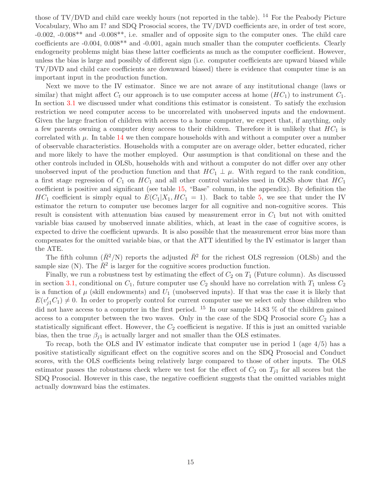those of  $TV/DVD$  and child care weekly hours (not reported in the table). <sup>14</sup> For the Peabody Picture Vocabulary, Who am I? and SDQ Prosocial scores, the TV/DVD coefficients are, in order of test score, -0.002, -0.008\*\* and -0.008\*\*, i.e. smaller and of opposite sign to the computer ones. The child care coefficients are -0.004, 0.008\*\* and -0.001, again much smaller than the computer coefficients. Clearly endogeneity problems might bias these latter coefficients as much as the computer coefficient. However, unless the bias is large and possibly of different sign (i.e. computer coefficients are upward biased while TV/DVD and child care coefficients are downward biased) there is evidence that computer time is an important input in the production function.

Next we move to the IV estimator. Since we are not aware of any institutional change (laws or similar) that might affect  $C_t$  our approach is to use computer access at home  $(HC_1)$  to instrument  $C_1$ . In section [3.1](#page-5-2) we discussed under what conditions this estimator is consistent. To satisfy the exclusion restriction we need computer access to be uncorrelated with unobserved inputs and the endowment. Given the large fraction of children with access to a home computer, we expect that, if anything, only a few parents owning a computer deny access to their children. Therefore it is unlikely that  $HC_1$  is correlated with  $\mu$ . In table [14](#page-28-0) we then compare households with and without a computer over a number of observable characteristics. Households with a computer are on average older, better educated, richer and more likely to have the mother employed. Our assumption is that conditional on these and the other controls included in OLSb, households with and without a computer do not differ over any other unobserved input of the production function and that  $HC_1 \perp \mu$ . With regard to the rank condition, a first stage regression of  $C_1$  on  $HC_1$  and all other control variables used in OLSb show that  $HC_1$ coefficient is positive and significant (see table [15,](#page-28-1) "Base" column, in the appendix). By definition the  $HC_1$  coefficient is simply equal to  $E(C_1|X_1, HC_1 = 1)$ . Back to table [5,](#page-13-0) we see that under the IV estimator the return to computer use becomes larger for all cognitive and non-cognitive scores. This result is consistent with attenuation bias caused by measurement error in  $C_1$  but not with omitted variable bias caused by unobserved innate abilities, which, at least in the case of cognitive scores, is expected to drive the coefficient upwards. It is also possible that the measurement error bias more than compensates for the omitted variable bias, or that the ATT identified by the IV estimator is larger than the ATE.

The fifth column  $(\bar{R}^2/N)$  reports the adjusted  $\bar{R}^2$  for the richest OLS regression (OLSb) and the sample size (N). The  $\bar{R}^2$  is larger for the cognitive scores production function.

Finally, we run a robustness test by estimating the effect of  $C_2$  on  $T_1$  (Future column). As discussed in section [3.1,](#page-5-2) conditional on  $C_1$ , future computer use  $C_2$  should have no correlation with  $T_1$  unless  $C_2$ is a function of  $\mu$  (skill endowments) and  $U_1$  (unobserved inputs). If that was the case it is likely that  $E(v'_jC_1) \neq 0$ . In order to properly control for current computer use we select only those children who<br>did not have access to a computer in the first nexical  $1^5$ , In our cample 14.82  $\%$  of the shildren gained did not have access to a computer in the first period. <sup>15</sup> In our sample 14.83  $\%$  of the children gained access to a computer between the two waves. Only in the case of the SDQ Prosocial score  $C_2$  has a statistically significant effect. However, the  $C_2$  coefficient is negative. If this is just an omitted variable bias, then the true  $\beta_{j1}$  is actually larger and not smaller than the OLS estimates.

To recap, both the OLS and IV estimator indicate that computer use in period 1 (age 4/5) has a positive statistically significant effect on the cognitive scores and on the SDQ Prosocial and Conduct scores, with the OLS coefficients being relatively large compared to those of other inputs. The OLS estimator passes the robustness check where we test for the effect of  $C_2$  on  $T_{j1}$  for all scores but the SDQ Prosocial. However in this case, the negative coefficient suggests that the omitted variables might actually downward bias the estimates.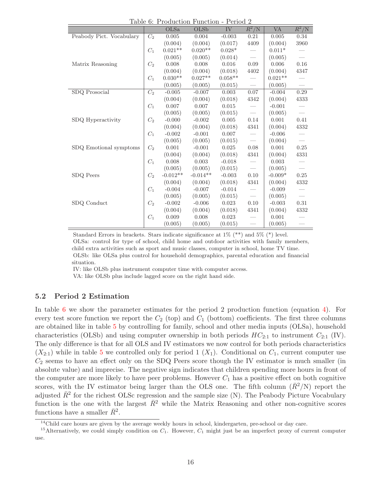<span id="page-15-0"></span>Table 6: Production Function - Period 2

|                          |                  | OLSa       | <u> 1 aprel 0. - 1 Toutuction - uniction - 1 errou 2</u><br>OLSb | IV        | $\bar{R}^2/\rm{N}$       | <b>VA</b> | $\bar{R}^2/N$ |
|--------------------------|------------------|------------|------------------------------------------------------------------|-----------|--------------------------|-----------|---------------|
| Peabody Pict. Vocabulary | C <sub>2</sub>   | 0.005      | 0.004                                                            | $-0.003$  | 0.21                     | 0.005     | 0.34          |
|                          |                  | (0.004)    | (0.004)                                                          | (0.017)   | 4409                     | (0.004)   | 3960          |
|                          | $C_1$            | $0.021**$  | $0.020**$                                                        | $0.028*$  |                          | $0.011*$  |               |
|                          |                  | (0.005)    | (0.005)                                                          | (0.014)   | $\overline{\phantom{m}}$ | (0.005)   |               |
| Matrix Reasoning         | $C_2$            | 0.008      | 0.008                                                            | 0.016     | 0.09                     | 0.006     | 0.16          |
|                          |                  | (0.004)    | (0.004)                                                          | (0.018)   | 4402                     | (0.004)   | 4347          |
|                          | $C_1$            | $0.030**$  | $0.027**$                                                        | $0.058**$ |                          | $0.021**$ |               |
|                          |                  | (0.005)    | (0.005)                                                          | (0.015)   | $\overline{\phantom{0}}$ | (0.005)   |               |
| $SDQ$ Prosocial          | $\overline{C_2}$ | $-0.005$   | $-0.007$                                                         | 0.003     | 0.07                     | $-0.004$  | 0.29          |
|                          |                  | (0.004)    | (0.004)                                                          | (0.018)   | 4342                     | (0.004)   | 4333          |
|                          | $C_1$            | 0.007      | 0.007                                                            | 0.015     |                          | $-0.001$  |               |
|                          |                  | (0.005)    | (0.005)                                                          | (0.015)   | $\overline{\phantom{0}}$ | (0.005)   |               |
| SDQ Hyperactivity        | $C_2$            | $-0.000$   | $-0.002$                                                         | 0.005     | 0.14                     | 0.001     | 0.41          |
|                          |                  | (0.004)    | (0.004)                                                          | (0.018)   | 4341                     | (0.004)   | 4332          |
|                          | $C_1$            | $-0.002$   | $-0.001$                                                         | 0.007     |                          | $-0.006$  |               |
|                          |                  | (0.005)    | (0.005)                                                          | (0.015)   |                          | (0.004)   |               |
| SDQ Emotional symptoms   | $C_2$            | 0.001      | $-0.001$                                                         | 0.025     | $0.08\,$                 | 0.001     | 0.25          |
|                          |                  | (0.004)    | (0.004)                                                          | (0.018)   | 4341                     | (0.004)   | 4331          |
|                          | $C_1$            | 0.008      | 0.003                                                            | $-0.018$  |                          | 0.003     |               |
|                          |                  | (0.005)    | (0.005)                                                          | (0.015)   | $\overline{\phantom{m}}$ | (0.005)   |               |
| SDQ Peers                | $C_2$            | $-0.012**$ | $-0.014**$                                                       | $-0.003$  | 0.10                     | $-0.009*$ | 0.25          |
|                          |                  | (0.004)    | (0.004)                                                          | (0.018)   | 4341                     | (0.004)   | 4332          |
|                          | $C_1$            | $-0.004$   | $-0.007$                                                         | $-0.014$  |                          | $-0.009$  |               |
|                          |                  | (0.005)    | (0.005)                                                          | (0.015)   | $\overline{\phantom{m}}$ | (0.005)   |               |
| SDQ Conduct              | $C_2$            | $-0.002$   | $-0.006$                                                         | 0.023     | 0.10                     | $-0.003$  | 0.31          |
|                          |                  | (0.004)    | (0.004)                                                          | (0.018)   | 4341                     | (0.004)   | 4332          |
|                          | $C_1$            | 0.009      | 0.008                                                            | 0.023     |                          | 0.001     |               |
|                          |                  | (0.005)    | (0.005)                                                          | (0.015)   |                          | (0.005)   |               |

Standard Errors in brackets. Stars indicate significance at 1% (\*\*) and 5% (\*) level.

OLSa: control for type of school, child home and outdoor activities with family members, child extra activities such as sport and music classes, computer in school, home TV time. OLSb: like OLSa plus control for household demographics, parental education and financial situation.

IV: like OLSb plus instrument computer time with computer access.

VA: like OLSb plus include lagged score on the right hand side.

#### <span id="page-15-1"></span>**5.2 Period 2 Estimation**

In table [6](#page-15-0) we show the parameter estimates for the period 2 production function (equation [4\)](#page-6-0). For every test score function we report the  $C_2$  (top) and  $C_1$  (bottom) coefficients. The first three columns are obtained like in table [5](#page-13-0) by controlling for family, school and other media inputs (OLSa), household characteristics (OLSb) and using computer ownership in both periods  $HC_{2:1}$  to instrument  $C_{2:1}$  (IV). The only difference is that for all OLS and IV estimators we now control for both periods characteristics  $(X_{2:1})$  while in table [5](#page-13-0) we controlled only for period 1  $(X_1)$ . Conditional on  $C_1$ , current computer use  $C_2$  seems to have an effect only on the SDQ Peers score though the IV estimator is much smaller (in absolute value) and imprecise. The negative sign indicates that children spending more hours in front of the computer are more likely to have peer problems. However  $C_1$  has a positive effect on both cognitive scores, with the IV estimator being larger than the OLS one. The fifth column  $(\bar{R}^2/N)$  report the adjusted  $\bar{R}^2$  for the richest OLSc regression and the sample size (N). The Peabody Picture Vocabulary function is the one with the largest  $\bar{R}^2$  while the Matrix Reasoning and other non-cognitive scores functions have a smaller  $\bar{R}^2$ .

<sup>&</sup>lt;sup>14</sup>Child care hours are given by the average weekly hours in school, kindergarten, pre-school or day care.

<sup>&</sup>lt;sup>15</sup>Alternatively, we could simply condition on  $C_1$ . However,  $C_1$  might just be an imperfect proxy of current computer use.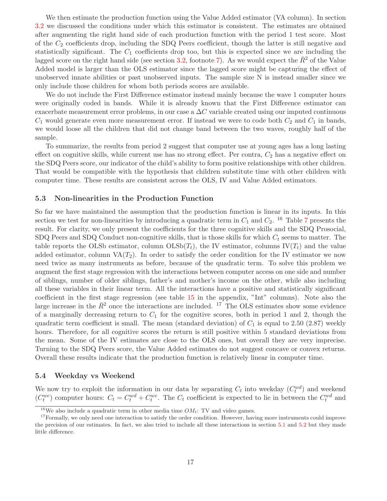We then estimate the production function using the Value Added estimator (VA column). In section [3.2](#page-6-1) we discussed the conditions under which this estimator is consistent. The estimates are obtained after augmenting the right hand side of each production function with the period 1 test score. Most of the  $C_2$  coefficients drop, including the SDQ Peers coefficient, though the latter is still negative and statistically significant. The  $C_1$  coefficients drop too, but this is expected since we are including the lagged score on the right hand side (see section [3.2,](#page-6-1) footnote [7\)](#page-6-0). As we would expect the  $\bar{R}^2$  of the Value Added model is larger than the OLS estimator since the lagged score might be capturing the effect of unobserved innate abilities or past unobserved inputs. The sample size N is instead smaller since we only include those children for whom both periods scores are available.

We do not include the First Difference estimator instead mainly because the wave 1 computer hours were originally coded in bands. While it is already known that the First Difference estimator can exacerbate measurement error problems, in our case a  $\Delta C$  variable created using our imputed continuous  $C_1$  would generate even more measurement error. If instead we were to code both  $C_2$  and  $C_1$  in bands, we would loose all the children that did not change band between the two waves, roughly half of the sample.

To summarize, the results from period 2 suggest that computer use at young ages has a long lasting effect on cognitive skills, while current use has no strong effect. Per contra,  $C_2$  has a negative effect on the SDQ Peers score, our indicator of the child's ability to form positive relationships with other children. That would be compatible with the hypothesis that children substitute time with other children with computer time. These results are consistent across the OLS, IV and Value Added estimators.

#### **5.3 Non-linearities in the Production Function**

So far we have maintained the assumption that the production function is linear in its inputs. In this section we test for non-linearities by introducing a quadratic term in  $C_1$  and  $C_2$ . <sup>16</sup> Table [7](#page-20-0) presents the result. For clarity, we only present the coefficients for the three cognitive skills and the SDQ Prosocial, SDQ Peers and SDQ Conduct non-cognitive skills, that is those skills for which <sup>C</sup>*<sup>t</sup>* seems to matter. The table reports the OLSb estimator, column  $OLSb(T_t)$ , the IV estimator, columns IV( $T_t$ ) and the value added estimator, column  $VA(T_2)$ . In order to satisfy the order condition for the IV estimator we now need twice as many instruments as before, because of the quadratic term. To solve this problem we augment the first stage regression with the interactions between computer access on one side and number of siblings, number of older siblings, father's and mother's income on the other, while also including all these variables in their linear term. All the interactions have a positive and statistically significant coefficient in the first stage regression (see table [15](#page-28-1) in the appendix, "Int" columns). Note also the large increase in the  $\bar{R}^2$  once the interactions are included. <sup>17</sup> The OLS estimates show some evidence of a marginally decreasing return to  $C_1$  for the cognitive scores, both in period 1 and 2, though the quadratic term coefficient is small. The mean (standard deviation) of  $C_1$  is equal to 2.50 (2.87) weekly hours. Therefore, for all cognitive scores the return is still positive within 5 standard deviations from the mean. Some of the IV estimates are close to the OLS ones, but overall they are very imprecise. Turning to the SDQ Peers score, the Value Added estimates do not suggest concave or convex returns. Overall these results indicate that the production function is relatively linear in computer time.

#### <span id="page-16-0"></span>**5.4 Weekday vs Weekend**

We now try to exploit the information in our data by separating  $C_t$  into weekday  $(C_t^{wd})$  and weekend<br> $(C^{we})$  computer hours:  $C_t = C^{wd} + C^{we}$ . The  $C_t$  coefficient is expected to lie in between the  $C^{wd}$  and  $(C_t^{we})$  computer hours:  $C_t = C_t^{wd} + C_t^{we}$ . The  $C_t$  coefficient is expected to lie in between the  $C_t^{wd}$  and

<sup>&</sup>lt;sup>16</sup>We also include a quadratic term in other media time  $OM_t$ : TV and video games.

<sup>&</sup>lt;sup>17</sup>Formally, we only need one interaction to satisfy the order condition. However, having more instruments could improve the precision of our estimates. In fact, we also tried to include all these interactions in section [5.1](#page-13-1) and [5.2](#page-15-1) but they made little difference.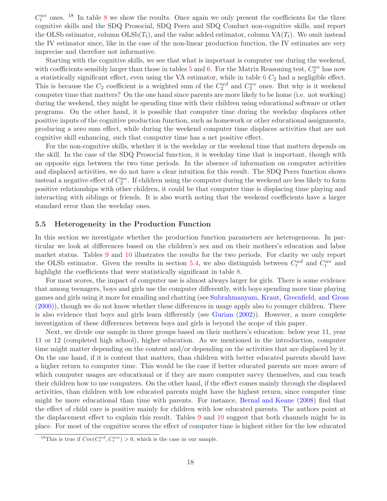$C_t^{we}$  ones. <sup>1[8](#page-21-0)</sup> In table 8 we show the results. Once again we only present the coefficients for the three<br>cognitive skills and the SDO Presential SDO Peers and SDO Conduct percepative skills, and report cognitive skills and the SDQ Prosocial, SDQ Peers and SDQ Conduct non-cognitive skills, and report the OLSb estimator, column  $\text{OLSb}(T_t)$ , and the value added estimator, column  $\text{VA}(T_t)$ . We omit instead the IV estimator since, like in the case of the non-linear production function, the IV estimates are very imprecise and therefore not informative.

Starting with the cognitive skills, we see that what is important is computer use during the weekend, with coefficients sensibly larger than those in tables  $5$  and  $6$ . For the Matrix Reasoning test,  $C_2^{we}$  has now<br>a statistically significant effect, even using the VA estimator, while in table  $6C_0$  had a negligible e a statistically significant effect, even using the VA estimator, while in table  $6C_2$  $6C_2$  had a negligible effect. This is because the  $C_2$  coefficient is a weighted sum of the  $C_2^{wd}$  and  $C_2^{we}$  ones. But why is it weekend<br>computer time that matters? On the one hand since parents are more likely to be home (i.e., not working) computer time that matters? On the one hand since parents are more likely to be home (i.e. not working) during the weekend, they might be spending time with their children using educational software or other programs. On the other hand, it is possible that computer time during the weekday displaces other positive inputs of the cognitive production function, such as homework or other educational assignments, producing a zero sum effect, while during the weekend computer time displaces activities that are not cognitive skill enhancing, such that computer time has a net positive effect.

For the non-cognitive skills, whether it is the weekday or the weekend time that matters depends on the skill. In the case of the SDQ Prosocial function, it is weekday time that is important, though with an opposite sign between the two time periods. In the absence of information on computer activities and displaced activities, we do not have a clear intuition for this result. The SDQ Peers function shows instead a negative effect of  $C_2^{we}$ . If children using the computer during the weekend are less likely to form<br>positive relationships with other children, it could be that computer time is displacing time playing and positive relationships with other children, it could be that computer time is displacing time playing and interacting with siblings or friends. It is also worth noting that the weekend coefficients have a larger standard error than the weekday ones.

#### **5.5 Heterogeneity in the Production Function**

In this section we investigate whether the production function parameters are heterogeneous. In particular we look at differences based on the children's sex and on their mothers's education and labor market status. Tables [9](#page-22-0) and [10](#page-23-0) illustrates the results for the two periods. For clarity we only report the OLSb estimator. Given the results in section [5.4,](#page-16-0) we also distinguish between  $C_t^{wd}$  and  $C_t^{we}$  and highlight the coefficients that were statistically significant in table 8. highlight the coefficients that were statistically significant in table [8.](#page-21-0)

For most scores, the impact of computer use is almost always larger for girls. There is some evidence that among teenagers, boys and girls use the computer differently, with boys spending more time playing games and girls using it more for emailing and chatting (see [Subrahmanyam, Kraut, Greenfield, and Gross](#page-30-3) [\(2000\)](#page-30-3)), though we do not know whether these differences in usage apply also to younger children. There is also evidence that boys and girls learn differently (see [Gurian](#page-29-20) [\(2002\)](#page-29-20)). However, a more complete investigation of these differences between boys and girls is beyond the scope of this paper.

Next, we divide our sample in three groups based on their mothers's education: below year 11, year 11 or 12 (completed high school), higher education. As we mentioned in the introduction, computer time might matter depending on the content and/or depending on the activities that are displaced by it. On the one hand, if it is content that matters, than children with better educated parents should have a higher return to computer time. This would be the case if better educated parents are more aware of which computer usages are educational or if they are more computer savvy themselves, and can teach their children how to use computers. On the other hand, if the effect comes mainly through the displaced activities, than children with low educated parents might have the highest return, since computer time might be more educational than time with parents. For instance, [Bernal and Keane](#page-29-10) [\(2008](#page-29-10)) find that the effect of child care is positive mainly for children with low educated parents. The authors point at the displacement effect to explain this result. Tables [9](#page-22-0) and [10](#page-23-0) suggest that both channels might be in place. For most of the cognitive scores the effect of computer time is highest either for the low educated

<sup>&</sup>lt;sup>18</sup>This is true if  $Cov(C_t^{wd}, C_t^{ww}) > 0$ , which is the case in our sample.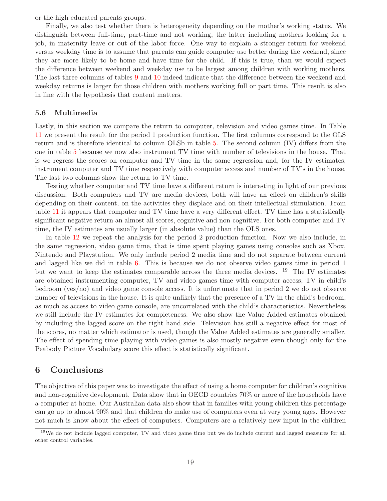or the high educated parents groups.

Finally, we also test whether there is heterogeneity depending on the mother's working status. We distinguish between full-time, part-time and not working, the latter including mothers looking for a job, in maternity leave or out of the labor force. One way to explain a stronger return for weekend versus weekday time is to assume that parents can guide computer use better during the weekend, since they are more likely to be home and have time for the child. If this is true, than we would expect the difference between weekend and weekday use to be largest among children with working mothers. The last three columns of tables [9](#page-22-0) and [10](#page-23-0) indeed indicate that the difference between the weekend and weekday returns is larger for those children with mothers working full or part time. This result is also in line with the hypothesis that content matters.

#### **5.6 Multimedia**

Lastly, in this section we compare the return to computer, television and video games time. In Table [11](#page-24-0) we present the result for the period 1 production function. The first columns correspond to the OLS return and is therefore identical to column OLSb in table [5.](#page-13-0) The second column (IV) differs from the one in table [5](#page-13-0) because we now also instrument TV time with number of televisions in the house. That is we regress the scores on computer and TV time in the same regression and, for the IV estimates, instrument computer and TV time respectively with computer access and number of TV's in the house. The last two columns show the return to TV time.

Testing whether computer and TV time have a different return is interesting in light of our previous discussion. Both computers and TV are media devices, both will have an effect on children's skills depending on their content, on the activities they displace and on their intellectual stimulation. From table [11](#page-24-0) it appears that computer and TV time have a very different effect. TV time has a statistically significant negative return an almost all scores, cognitive and non-cognitive. For both computer and TV time, the IV estimates are usually larger (in absolute value) than the OLS ones.

In table [12](#page-24-1) we repeat the analysis for the period 2 production function. Now we also include, in the same regression, video game time, that is time spent playing games using consoles such as Xbox, Nintendo and Playstation. We only include period 2 media time and do not separate between current and lagged like we did in table [6.](#page-15-0) This is because we do not observe video games time in period 1 but we want to keep the estimates comparable across the three media devices. <sup>19</sup> The IV estimates are obtained instrumenting computer, TV and video games time with computer access, TV in child's bedroom (yes/no) and video game console access. It is unfortunate that in period 2 we do not observe number of televisions in the house. It is quite unlikely that the presence of a TV in the child's bedroom, as much as access to video game console, are uncorrelated with the child's characteristics. Nevertheless we still include the IV estimates for completeness. We also show the Value Added estimates obtained by including the lagged score on the right hand side. Television has still a negative effect for most of the scores, no matter which estimator is used, though the Value Added estimates are generally smaller. The effect of spending time playing with video games is also mostly negative even though only for the Peabody Picture Vocabulary score this effect is statistically significant.

## <span id="page-18-0"></span>**6 Conclusions**

The objective of this paper was to investigate the effect of using a home computer for children's cognitive and non-cognitive development. Data show that in OECD countries 70% or more of the households have a computer at home. Our Australian data also show that in families with young children this percentage can go up to almost 90% and that children do make use of computers even at very young ages. However not much is know about the effect of computers. Computers are a relatively new input in the children

<sup>&</sup>lt;sup>19</sup>We do not include lagged computer, TV and video game time but we do include current and lagged measures for all other control variables.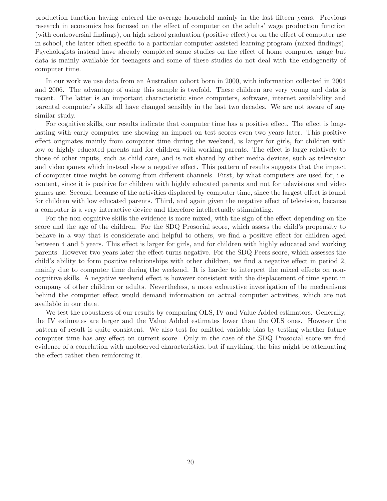production function having entered the average household mainly in the last fifteen years. Previous research in economics has focused on the effect of computer on the adults' wage production function (with controversial findings), on high school graduation (positive effect) or on the effect of computer use in school, the latter often specific to a particular computer-assisted learning program (mixed findings). Psychologists instead have already completed some studies on the effect of home computer usage but data is mainly available for teenagers and some of these studies do not deal with the endogeneity of computer time.

In our work we use data from an Australian cohort born in 2000, with information collected in 2004 and 2006. The advantage of using this sample is twofold. These children are very young and data is recent. The latter is an important characteristic since computers, software, internet availability and parental computer's skills all have changed sensibly in the last two decades. We are not aware of any similar study.

For cognitive skills, our results indicate that computer time has a positive effect. The effect is longlasting with early computer use showing an impact on test scores even two years later. This positive effect originates mainly from computer time during the weekend, is larger for girls, for children with low or highly educated parents and for children with working parents. The effect is large relatively to those of other inputs, such as child care, and is not shared by other media devices, such as television and video games which instead show a negative effect. This pattern of results suggests that the impact of computer time might be coming from different channels. First, by what computers are used for, i.e. content, since it is positive for children with highly educated parents and not for televisions and video games use. Second, because of the activities displaced by computer time, since the largest effect is found for children with low educated parents. Third, and again given the negative effect of television, because a computer is a very interactive device and therefore intellectually stimulating.

For the non-cognitive skills the evidence is more mixed, with the sign of the effect depending on the score and the age of the children. For the SDQ Prosocial score, which assess the child's propensity to behave in a way that is considerate and helpful to others, we find a positive effect for children aged between 4 and 5 years. This effect is larger for girls, and for children with highly educated and working parents. However two years later the effect turns negative. For the SDQ Peers score, which assesses the child's ability to form positive relationships with other children, we find a negative effect in period 2, mainly due to computer time during the weekend. It is harder to interpret the mixed effects on noncognitive skills. A negative weekend effect is however consistent with the displacement of time spent in company of other children or adults. Nevertheless, a more exhaustive investigation of the mechanisms behind the computer effect would demand information on actual computer activities, which are not available in our data.

We test the robustness of our results by comparing OLS, IV and Value Added estimators. Generally, the IV estimates are larger and the Value Added estimates lower than the OLS ones. However the pattern of result is quite consistent. We also test for omitted variable bias by testing whether future computer time has any effect on current score. Only in the case of the SDQ Prosocial score we find evidence of a correlation with unobserved characteristics, but if anything, the bias might be attenuating the effect rather then reinforcing it.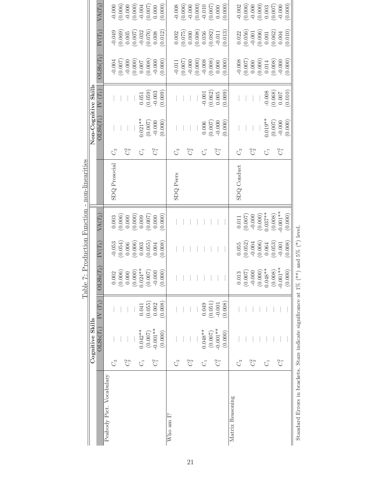|                                                                |                   |                  |                           |                                       |                                                                                                     |                                                                                                               | тарие и годислоп глопо - поп-плеатиев |         |                      |                                                           |                                                                                                          |                                                                                                              |                                                                                                                |
|----------------------------------------------------------------|-------------------|------------------|---------------------------|---------------------------------------|-----------------------------------------------------------------------------------------------------|---------------------------------------------------------------------------------------------------------------|---------------------------------------|---------|----------------------|-----------------------------------------------------------|----------------------------------------------------------------------------------------------------------|--------------------------------------------------------------------------------------------------------------|----------------------------------------------------------------------------------------------------------------|
|                                                                |                   | Cognitive Skills |                           |                                       |                                                                                                     |                                                                                                               |                                       |         | Non-Cognitive Skills |                                                           |                                                                                                          |                                                                                                              |                                                                                                                |
|                                                                |                   | $OLSb(T_1)$      | $(T_1)$<br>$\overline{N}$ | $\mathrm{LSb}(T_2)$<br>$\overline{C}$ | $IV(T_2)$                                                                                           | $\mathrm{VA}(T_2)$                                                                                            |                                       |         | $OLSb(T_1)$          | ${\rm IV}~(T_1)$                                          | OLSb(T <sub>2</sub> )                                                                                    | $\mathrm{IV}(T_2)$                                                                                           | $\text{VA}(T_2)$                                                                                               |
| Peabody Pict. Vocabulary                                       |                   |                  |                           |                                       |                                                                                                     |                                                                                                               |                                       |         |                      |                                                           |                                                                                                          |                                                                                                              |                                                                                                                |
|                                                                | C <sub>2</sub>    |                  |                           | $0.002\,$                             |                                                                                                     |                                                                                                               | SDQ Prosocial                         | S       |                      |                                                           |                                                                                                          |                                                                                                              |                                                                                                                |
|                                                                |                   |                  |                           | 0.006)                                |                                                                                                     |                                                                                                               |                                       |         |                      |                                                           |                                                                                                          |                                                                                                              |                                                                                                                |
|                                                                | $C_2^2$           |                  |                           |                                       |                                                                                                     |                                                                                                               |                                       | $C_2^2$ |                      |                                                           |                                                                                                          |                                                                                                              |                                                                                                                |
|                                                                |                   |                  |                           | (0.000)                               | $\begin{array}{c} -0.053 \\ (0.054) \\ 0.006 \\ (0.006) \\ (0.006) \\ 0.003 \\ (0.055) \end{array}$ | $\begin{array}{c} 0.003\\ (0.006)\\ 0.000\\ (0.000)\\ (0.001)\\ (0.007)\\ (0.007)\\ \end{array}$              |                                       |         |                      |                                                           | $\begin{array}{c} -0.004 \\ -0.007 \\ -0.000 \\ 0.001 \\ 0.007 \\ 0.007 \\ 0.007 \\ \end{array}$         | $\begin{array}{c} -0.049 \\ (0.069) \\ 0.005 \\ (0.007) \\ 0.032 \\ (-0.032 \end{array}$                     | $\begin{array}{c} -0.000 \\ (0.006) \\ -0.000 \\ (0.000) \\ 0.001 \\ \end{array}$                              |
|                                                                | $\mathcal{C}_1$   | $0.042**$        | 0.041                     | $0.024**$                             |                                                                                                     |                                                                                                               |                                       | ರ       | $0.021**$            | $0.051\,$                                                 |                                                                                                          |                                                                                                              |                                                                                                                |
|                                                                |                   | (0.007)          | (0.055)                   | (0.007)                               |                                                                                                     |                                                                                                               |                                       |         | (0.007)              | (0.059)                                                   |                                                                                                          |                                                                                                              |                                                                                                                |
|                                                                | $C_1^2$           | $-0.001**$       | 0.002                     | $-0.000$                              | 0.004                                                                                               |                                                                                                               |                                       | $C_1^2$ | $-0.000$             | $-0.003$                                                  | $-0.000$                                                                                                 | 0.008                                                                                                        | 0.000                                                                                                          |
|                                                                |                   | (0.000)          | (0.008)                   | (0.000)                               | (0.008)                                                                                             | (0.000)                                                                                                       |                                       |         | (0.000)              | (0.009)                                                   | (0.000)                                                                                                  | (0.012)                                                                                                      | (0.000)                                                                                                        |
| Who am I?                                                      |                   |                  |                           |                                       |                                                                                                     |                                                                                                               |                                       |         |                      |                                                           |                                                                                                          |                                                                                                              |                                                                                                                |
|                                                                | C <sub>2</sub>    |                  |                           |                                       |                                                                                                     |                                                                                                               | SDQ Peers                             | S       |                      |                                                           |                                                                                                          |                                                                                                              |                                                                                                                |
|                                                                |                   |                  |                           |                                       |                                                                                                     |                                                                                                               |                                       |         |                      |                                                           |                                                                                                          |                                                                                                              |                                                                                                                |
|                                                                | $C_2^2$           |                  |                           |                                       |                                                                                                     |                                                                                                               |                                       | $C_2^2$ |                      |                                                           |                                                                                                          |                                                                                                              |                                                                                                                |
|                                                                |                   |                  |                           |                                       |                                                                                                     |                                                                                                               |                                       |         |                      |                                                           | $\begin{array}{l} -0.011 \\ -0.007) \\ -0.000 \\ -0.000 \\ 0.000 \\ 0.008 \\ 0.008 \end{array}$          | $\begin{array}{c} 0.002 \\ (0.075) \\ 0.000 \\ (0.008) \\ (0.056) \\ 0.056 \end{array}$                      | $\begin{array}{c} -0.008 \\ (0.006) \\ -0.000 \\ (0.000) \\ (0.001) \\ 0.010 \\ (0.007) \\ \end{array}$        |
|                                                                | $\mathcal{C}_{1}$ | $0.048**$        | 0.049                     |                                       |                                                                                                     |                                                                                                               |                                       | ರ       | 0.006                |                                                           |                                                                                                          |                                                                                                              |                                                                                                                |
|                                                                |                   | (0.007)          | (0.051)                   |                                       |                                                                                                     |                                                                                                               |                                       |         | (0.007)              | $-0.001$<br>$(0.062)$<br>$0.005$                          |                                                                                                          |                                                                                                              |                                                                                                                |
|                                                                | $C_1^2$           | $-0.001**$       | $-0.001$                  |                                       |                                                                                                     |                                                                                                               |                                       | $C_1^2$ | $-0.000$             |                                                           |                                                                                                          | $-0.011$                                                                                                     |                                                                                                                |
|                                                                |                   | (0.000)          | (0.008)                   |                                       |                                                                                                     |                                                                                                               |                                       |         | (0.000)              | (0.009)                                                   | (0.000)                                                                                                  | (0.013)                                                                                                      | (0.000)                                                                                                        |
| Matrix Reasoning                                               |                   |                  |                           |                                       |                                                                                                     |                                                                                                               |                                       |         |                      |                                                           |                                                                                                          |                                                                                                              |                                                                                                                |
|                                                                | C <sub>2</sub>    |                  |                           | 0.013                                 |                                                                                                     | $0.011\,$                                                                                                     | SDQ Conduct                           | Č2      |                      |                                                           |                                                                                                          |                                                                                                              |                                                                                                                |
|                                                                |                   |                  |                           | (0.007)                               | $(0.055)$<br>$(0.052)$                                                                              |                                                                                                               |                                       |         |                      |                                                           |                                                                                                          |                                                                                                              |                                                                                                                |
|                                                                | $C_2^2$           |                  |                           | $-0.000$                              |                                                                                                     |                                                                                                               |                                       | $C_2^2$ |                      |                                                           |                                                                                                          |                                                                                                              |                                                                                                                |
|                                                                |                   |                  |                           | $(0.000)$<br>$0.048**$                |                                                                                                     |                                                                                                               |                                       |         |                      |                                                           |                                                                                                          |                                                                                                              |                                                                                                                |
|                                                                | $\mathcal{C}_1$   |                  |                           |                                       | $\begin{array}{c} -0.004 \\ (0.006) \\ 0.064 \\ (0.053) \end{array}$                                | $\begin{array}{c} (0.007) \\ -0.000 \\ (0.000) \\ 0.037^{**} \\ (0.008) \\ (0.008) \\ (0.008) \\ \end{array}$ |                                       | ರ       | $0.019**$            |                                                           | $\begin{array}{c} -0.008 \\ (0.007) \\ 0.000 \\ (0.000) \\ (0.000) \\ (0.000) \\ (0.008) \\ \end{array}$ | $\begin{array}{c} 0.022 \\ (0.056) \\ -0.001 \\ (0.006) \\ (0.006) \\ 0.001 \\ (0.062) \\ 0.004 \end{array}$ | $\begin{array}{c} -0.002 \\ (0.006) \\ (0.000) \\ -0.000 \\ (0.003) \\ 0.003 \\ (0.007) \\ -0.007 \end{array}$ |
|                                                                |                   |                  |                           | (0.008)                               |                                                                                                     |                                                                                                               |                                       |         | (0.007)              | $\begin{array}{c} -0.008 \\ (0.068) \\ 0.007 \end{array}$ |                                                                                                          |                                                                                                              |                                                                                                                |
|                                                                | $C_1^2$           |                  |                           | $-0.001**$                            | $-0.001$                                                                                            |                                                                                                               |                                       | $C_1^2$ | $-0.000$             |                                                           |                                                                                                          |                                                                                                              |                                                                                                                |
|                                                                |                   |                  |                           | (0.000)                               | (0.008)                                                                                             | (0.000)                                                                                                       |                                       |         | (0.000)              | (0.010)                                                   | (0.000)                                                                                                  | (0.010)                                                                                                      | (0.000)                                                                                                        |
| Standard Errors in brackets. Stars indicate significance at 1% |                   |                  |                           |                                       | $(**)$ and 5% $(*)$ level.                                                                          |                                                                                                               |                                       |         |                      |                                                           |                                                                                                          |                                                                                                              |                                                                                                                |

<span id="page-20-0"></span>Table 7: Production Function - non-linearities Table 7: Production Function - non-linearities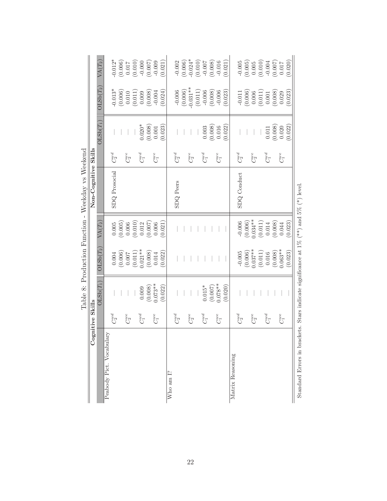| ರೆ                                                                                         | gnitive Skills      |             | Lable of Thomas Philadelphia -                                                                                        |                                                                              | <b>INCENTAL AS INCENETION</b> |            |                                                 |                                                                                                              |                                                                                                         |
|--------------------------------------------------------------------------------------------|---------------------|-------------|-----------------------------------------------------------------------------------------------------------------------|------------------------------------------------------------------------------|-------------------------------|------------|-------------------------------------------------|--------------------------------------------------------------------------------------------------------------|---------------------------------------------------------------------------------------------------------|
|                                                                                            |                     |             |                                                                                                                       |                                                                              | Non-Cognitive Skills          |            |                                                 |                                                                                                              |                                                                                                         |
|                                                                                            |                     | $OLSb(T_1)$ | OLSb(T <sub>2</sub> )                                                                                                 | $\operatorname{VA}(T_2)$                                                     |                               |            | $OLSb(T_1)$                                     | $OLSb(T_2)$                                                                                                  | $\mathrm{VA}(T_2)$                                                                                      |
| Peabody Pict. Vocabulary                                                                   |                     |             |                                                                                                                       |                                                                              |                               |            |                                                 |                                                                                                              |                                                                                                         |
|                                                                                            | $C_2^{wd}$          |             |                                                                                                                       |                                                                              | SDQ Prosocial                 | $C_2^{wd}$ |                                                 | $-0.013*$                                                                                                    |                                                                                                         |
|                                                                                            |                     |             |                                                                                                                       |                                                                              |                               |            |                                                 |                                                                                                              |                                                                                                         |
|                                                                                            | $C_2^{\mathrm{we}}$ |             |                                                                                                                       |                                                                              |                               | $C_2^{we}$ |                                                 |                                                                                                              |                                                                                                         |
|                                                                                            |                     |             |                                                                                                                       |                                                                              |                               |            |                                                 |                                                                                                              |                                                                                                         |
|                                                                                            | $C_1^{wd}$          | 0.009       | $\begin{array}{c} 0.004 \\ (0.006) \\ 0.007 \\ (0.011) \\ (0.011) \\ 0.021^{**} \\ (0.008) \\ (0.008) \\ \end{array}$ | $\begin{array}{c} 0.005 \\ (0.005) \\ 0.006 \\ (0.010) \\ 0.012 \end{array}$ |                               | $C_1^{wd}$ | $0.020*$                                        | $\begin{array}{c} (0.006) \\ 0.010 \\ (0.011) \\ 0.009 \\ (0.008) \end{array}$                               | $\begin{array}{c} 0.012* \\ (0.006) \\ (0.010) \\ (0.011) \\ (0.010) \\ (0.000) \\ (0.007) \end{array}$ |
|                                                                                            |                     | (0.008)     |                                                                                                                       | (0.007)                                                                      |                               |            | (0.008)                                         |                                                                                                              |                                                                                                         |
|                                                                                            | $C_1^{\rm we}$      | $0.073**$   |                                                                                                                       | 0.006                                                                        |                               | $C_1^{we}$ | $0.001\,$                                       | $-0.004$                                                                                                     | $-0.009$                                                                                                |
|                                                                                            |                     | (0.022)     | (0.022)                                                                                                               | (0.021)                                                                      |                               |            | (0.023)                                         | (0.024)                                                                                                      | (0.021)                                                                                                 |
| Who am I?                                                                                  |                     |             |                                                                                                                       |                                                                              |                               |            |                                                 |                                                                                                              |                                                                                                         |
|                                                                                            | $C_2^{wd}$          |             |                                                                                                                       |                                                                              | <b>SDQ</b> Peers              | $C_2^{wd}$ |                                                 |                                                                                                              |                                                                                                         |
|                                                                                            |                     |             |                                                                                                                       |                                                                              |                               |            |                                                 |                                                                                                              |                                                                                                         |
|                                                                                            | $C_2^{\mathrm{we}}$ |             |                                                                                                                       |                                                                              |                               | $C_2^{we}$ |                                                 | $-0.006$<br>$(0.006)$<br>$-0.031**$                                                                          |                                                                                                         |
|                                                                                            |                     |             |                                                                                                                       |                                                                              |                               |            |                                                 |                                                                                                              |                                                                                                         |
|                                                                                            | $C_1^{wd}$          | $0.015*$    |                                                                                                                       |                                                                              |                               | $C_1^{wd}$ |                                                 | $\begin{array}{c} (0.011) \\ -0.006 \\ (0.008) \\ -0.006 \end{array}$                                        | $\begin{array}{c} -0.002 \\ (0.006) \\ (0.010) \\ (0.010) \\ -0.007 \\ 0.007 \\ \end{array}$            |
|                                                                                            |                     | (0.007)     |                                                                                                                       |                                                                              |                               |            | (0.003)                                         |                                                                                                              |                                                                                                         |
|                                                                                            | $C_1^{\rm we}$      | $0.078**$   |                                                                                                                       |                                                                              |                               | $C_1^{we}$ | 0.016                                           |                                                                                                              | $-0.016$                                                                                                |
|                                                                                            |                     | (0.020)     |                                                                                                                       |                                                                              |                               |            | (0.022)                                         | (0.023)                                                                                                      | (0.021)                                                                                                 |
| Matrix Reasoning                                                                           |                     |             |                                                                                                                       |                                                                              |                               |            |                                                 |                                                                                                              |                                                                                                         |
|                                                                                            | $C_2^{wd}$          |             |                                                                                                                       |                                                                              | SDQ Conduct                   | $C_2^{wd}$ |                                                 |                                                                                                              |                                                                                                         |
|                                                                                            |                     |             | $-0.005$<br>(0.006)<br>0.037**                                                                                        | $-0.006$<br>$(0.006)$<br>$0.034**$                                           |                               |            |                                                 | $\begin{array}{c} -0.011 \\ (0.006) \\ 0.006 \\ (0.011) \\ (0.011) \\ 0.001 \\ (0.008) \\ 0.008 \end{array}$ | $\begin{array}{c} -0.005 \\ (0.005) \\ 0.005 \\ (0.010) \\ -0.004 \\ (0.007) \end{array}$               |
|                                                                                            | $C_2^{we}$          |             |                                                                                                                       |                                                                              |                               | $C_2^{we}$ |                                                 |                                                                                                              |                                                                                                         |
|                                                                                            |                     |             | $\left( 0.011\right)$ $0.016$                                                                                         | (0.011)                                                                      |                               |            |                                                 |                                                                                                              |                                                                                                         |
|                                                                                            | $C_1^{wd}$          |             |                                                                                                                       | 0.014                                                                        |                               | $C_1^{wd}$ | 0.011                                           |                                                                                                              |                                                                                                         |
|                                                                                            |                     |             | (0.008)                                                                                                               | (0.008)                                                                      |                               |            |                                                 |                                                                                                              |                                                                                                         |
|                                                                                            | $C_1^{\rm we}$      |             | $0.063**$                                                                                                             | $0.044\,$                                                                    |                               | $C_1^{we}$ | $\begin{array}{c} (0.008) \\ 0.020 \end{array}$ |                                                                                                              | 0.017                                                                                                   |
|                                                                                            |                     |             | (0.023)                                                                                                               | (0.023)                                                                      |                               |            | (0.022)                                         | (0.023)                                                                                                      | (0.020)                                                                                                 |
| Standard Errors in brackets. Stars indicate significance at $1\%$ (**) and $5\%$ (*) level |                     |             |                                                                                                                       |                                                                              |                               |            |                                                 |                                                                                                              |                                                                                                         |

Table 8: Production Function - Weekday vs Weekend Table 8: Production Function - Weekday vs Weekend

<span id="page-21-0"></span>22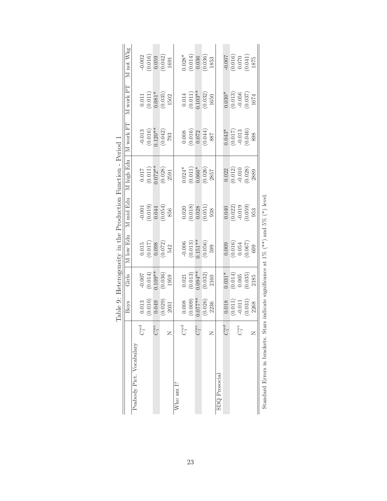|                                                                                            |                     |                                                           |                              |                                                                             |                                                                                    | Table 9: Heterogeneity in the Production Function - Period 1 |                                                                                              |                                                                                             |                                                                            |
|--------------------------------------------------------------------------------------------|---------------------|-----------------------------------------------------------|------------------------------|-----------------------------------------------------------------------------|------------------------------------------------------------------------------------|--------------------------------------------------------------|----------------------------------------------------------------------------------------------|---------------------------------------------------------------------------------------------|----------------------------------------------------------------------------|
|                                                                                            |                     | Boys                                                      | Girls                        | M low Edu                                                                   | M mid Edu                                                                          | M high Edu                                                   | M work FT                                                                                    | M work PT                                                                                   | M not Wkg                                                                  |
| Peabody Pict. Vocabulary                                                                   |                     |                                                           |                              |                                                                             |                                                                                    |                                                              |                                                                                              |                                                                                             |                                                                            |
|                                                                                            | $C_1^{wd}$          | 0.013                                                     | $-0.007$                     |                                                                             |                                                                                    |                                                              |                                                                                              |                                                                                             |                                                                            |
|                                                                                            |                     | $\begin{array}{c} (0.010) \\ 0.049 \end{array}$           | $(0.014)$<br>0.109**         | $\begin{array}{c} 0.015 \\ 0.017) \\ 0.098 \\ 0.072) \\ 0.072) \end{array}$ | $\begin{array}{c} -0.001 \\ (0.019) \\ 0.044 \end{array}$                          | $\begin{array}{c} 0.017 \\ (0.011) \\ 0.072** \end{array}$   | $-0.013$<br>$(0.016)$<br>$0.120**$                                                           | $\begin{array}{c} 0.011 \\ (0.011) \\ 0.081* \end{array}$                                   | $\begin{array}{c} -0.002 \\ 0.016) \\ 0.059 \\ 0.042) \\ 1691 \end{array}$ |
|                                                                                            | $C^{\mathit{we}}_1$ |                                                           |                              |                                                                             |                                                                                    |                                                              |                                                                                              |                                                                                             |                                                                            |
|                                                                                            |                     | $\begin{array}{c} (0.029) \\ 2031 \end{array}$            | $(0.036)$<br>1959            |                                                                             | $(0.054)$<br>856                                                                   | $\begin{array}{c} (0.028) \\ 2591 \end{array}$               | $\left(0.042\right)$ 793                                                                     | $(0.035)$<br>1502                                                                           |                                                                            |
| Z                                                                                          |                     |                                                           |                              |                                                                             |                                                                                    |                                                              |                                                                                              |                                                                                             |                                                                            |
| Who am I?                                                                                  |                     |                                                           |                              |                                                                             |                                                                                    |                                                              |                                                                                              |                                                                                             |                                                                            |
|                                                                                            | $C_1^{wd}$          | 0.008                                                     | 0.021                        | $-0.006$                                                                    |                                                                                    | $0.024*$                                                     |                                                                                              |                                                                                             | $0.028*$                                                                   |
|                                                                                            |                     | $(0.009)$<br>0.077**                                      | $(0.013)$<br>$0.094**$       | $(0.013)$<br>$0.151**$                                                      | $\begin{array}{c} 0.020 \\ 0.018) \\ 0.028 \\ 0.051) \\ \hline 0.051) \end{array}$ | $(0.011)$<br>$0.066*$                                        | $\begin{array}{c} 0.008 \\ (0.016) \\ 0.072 \\ (0.044) \\ (0.044) \\ \hline 887 \end{array}$ | $\begin{array}{c} 0.014 \\ (0.011) \\ 0.103^{**} \\ (0.032) \\ (0.032) \\ 1650 \end{array}$ | $\begin{array}{c} (0.014) \\ 0.036 \\ 0.036 \\ 1853 \end{array}$           |
|                                                                                            | $C_1^{we}$          |                                                           |                              |                                                                             |                                                                                    |                                                              |                                                                                              |                                                                                             |                                                                            |
|                                                                                            |                     | (0.026)                                                   | (0.032)                      | (0.056)                                                                     |                                                                                    | $(0.026)$<br>2857                                            |                                                                                              |                                                                                             |                                                                            |
| Z                                                                                          |                     | 2236                                                      | 2160                         | 599                                                                         |                                                                                    |                                                              |                                                                                              |                                                                                             |                                                                            |
| $SDQ$ $Prosocial$                                                                          |                     |                                                           |                              |                                                                             |                                                                                    |                                                              |                                                                                              |                                                                                             |                                                                            |
|                                                                                            | $C_1^{wd}$          | 0.018                                                     | $0.031*$                     | 0.009                                                                       | 0.040                                                                              | 0.022                                                        | $0.043*$                                                                                     | $0.030*$                                                                                    | $-0.007$                                                                   |
|                                                                                            |                     | $\begin{array}{c} (0.011) \\ -0.011 \\ 0.031 \end{array}$ | $(0.014)$<br>0.005<br>0.035) | $\begin{array}{c} (0.016) \\ 0.054 \\ 0.067) \\ 609 \end{array}$            | $(0.022)$<br>$-0.019$<br>$(0.059)$<br>$953$                                        | $\begin{array}{c} (0.012) \\ -0.010 \\ (0.028) \end{array}$  |                                                                                              |                                                                                             | $\begin{array}{c} (0.016) \\ 0.070 \\ 0.041) \end{array}$                  |
|                                                                                            | $C_1^{\text{ue}}$   |                                                           |                              |                                                                             |                                                                                    |                                                              |                                                                                              |                                                                                             |                                                                            |
|                                                                                            |                     |                                                           |                              |                                                                             |                                                                                    |                                                              | $\begin{array}{c} (0.017) \\ -0.013 \\ (0.046) \\ (898 \end{array}$                          | $\begin{array}{c} (0.013) \\ -0.056 \\ (0.037) \\ 1674 \end{array}$                         |                                                                            |
| $\simeq$                                                                                   |                     | 2268                                                      | 2185                         |                                                                             |                                                                                    | 2889                                                         |                                                                                              |                                                                                             | 1875                                                                       |
| Standard Errors in brackets. Stars indicate significance at $1\%$ (**) and $5\%$ (*) level |                     |                                                           |                              |                                                                             |                                                                                    |                                                              |                                                                                              |                                                                                             |                                                                            |

<span id="page-22-0"></span>

| ΰ<br>$\frac{1}{1}$            |
|-------------------------------|
|                               |
| č<br>A nin<br>$\tilde{\zeta}$ |
| (米米)                          |
| ł                             |
| $\frac{1}{2}$                 |
| ١<br>l<br>J                   |
| ţ<br><b>1</b>                 |
| $\frac{1}{2}$                 |
| j<br>ï                        |
| ۱,                            |
| į<br>ŗ                        |
| Č<br>l                        |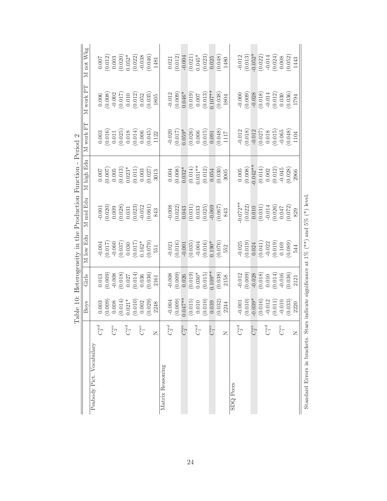|                                          | M not Wkg<br>M work PT |                          | 0.007                                         |            |                                                                   |            |            | $\begin{array}{c} (0.012) \\ 0.003 \\ (0.020) \\ 0.052^{*} \\ (0.022) \\ (0.022) \\ -0.038 \\ (0.046) \\ 1481 \end{array}$<br>$\begin{array}{c} 0.006 \\ (0.008) \\ (0.017) \\ (0.011) \\ (0.012) \\ (0.012) \\ (0.052) \\ (0.035) \\ 1805 \end{array}$ |                         |                  | 0.021      | (0.012)<br>$-0.012$<br>(0.009) | $-0.004$<br>$0.046*$ |                       |            | $\begin{array}{c} (0.021) \\ 0.045^* \\ (0.023) \\ 0.025 \\ (0.048) \\ (0.048) \\ 1480 \end{array}$<br>$\begin{array}{c} (0.019) \\ 0.007 \\ (0.013) \\ (0.013) \\ 0.107^{**} \end{array}$ |                  | $\frac{(0.038)}{1804}$                         |      |                  | $-0.012$<br>$\begin{array}{c} -0.000 \\ -0.009) \\ -0.028 \\ -0.014 \\ -0.014 \\ 0.012) \\ 0.030 \\ 0.036) \\ 1.794 \end{array}$ | (0.013) |            |                     |            |                     |                  | $\begin{array}{c} -0.052^{*} \\ (0.022) \\ -0.014 \\ (0.024) \\ (0.024) \\ 0.008 \\ (0.052) \\ 1443 \end{array}$          |         |  |
|------------------------------------------|------------------------|--------------------------|-----------------------------------------------|------------|-------------------------------------------------------------------|------------|------------|---------------------------------------------------------------------------------------------------------------------------------------------------------------------------------------------------------------------------------------------------------|-------------------------|------------------|------------|--------------------------------|----------------------|-----------------------|------------|--------------------------------------------------------------------------------------------------------------------------------------------------------------------------------------------|------------------|------------------------------------------------|------|------------------|----------------------------------------------------------------------------------------------------------------------------------|---------|------------|---------------------|------------|---------------------|------------------|---------------------------------------------------------------------------------------------------------------------------|---------|--|
| $\mathcal{C}$<br>Period                  | M work FT              |                          |                                               |            |                                                                   |            |            | $\begin{array}{c} 0.003 \\ 0.016) \\ 0.011 \\ 0.025) \\ 0.018 \\ 0.014) \\ 0.006 \\ 0.004) \\ 1.22 \end{array}$                                                                                                                                         |                         |                  | $-0.020$   | (0.017)                        | $0.059*$             |                       |            | $(0.026)$<br>$0.006$<br>$(0.015)$<br>$0.091$                                                                                                                                               |                  | $\frac{1117}{1117}$                            |      |                  | $-0.012$                                                                                                                         |         |            |                     |            |                     |                  | $\begin{array}{c} (0.018) \\ -0.012 \\ (0.027) \\ 0.018 \\ (0.015) \\ -0.065 \\ (0.048) \\ \end{array}$                   |         |  |
|                                          | M high Edu             |                          |                                               |            | $\begin{array}{c} 0.007 \\ (0.007) \\ 0.005 \\ 0.005 \end{array}$ |            |            | $\begin{array}{c} 0.023^{*} \\ (0.011) \\ 0.003 \\ (0.027) \\ (0.021) \\ \end{array}$                                                                                                                                                                   |                         |                  | 0.004      | (0.008)                        | $0.032*$             | $(0.014)$<br>0.031**  |            | $\left(0.012\right)$ $0.054$                                                                                                                                                               |                  | (0.030)                                        | 3005 |                  | $0.005$                                                                                                                          | (0.008) |            |                     |            |                     |                  | $(0.042**$<br>$(0.014)$<br>$(0.002$<br>$(0.012)$<br>$-0.045$<br>$(0.028)$<br>$(0.028)$                                    |         |  |
| Heterogeneity in the Production Function | M mid Edu              |                          |                                               |            |                                                                   |            |            | $\begin{array}{l} -0.001 \\ -0.020) \\ 0.009 \\ 0.003 \\ 0.031 \\ 0.031 \\ 0.031 \\ -0.052 \\ 0.061) \\ 0.061 \end{array}$                                                                                                                              |                         |                  |            | $-0.008$<br>$(0.022)$          | 0.043                |                       |            | $\begin{array}{c} (0.031) \\ 0.033 \\ (0.025) \end{array}$                                                                                                                                 | $-0.069$         | (0.067)                                        | 843  |                  | $0.072**$                                                                                                                        |         |            |                     |            |                     |                  | $\begin{array}{c} (0.022) \\ 0.010 \\ (0.031) \\ -0.014 \\ (0.026) \\ (0.027) \\ 0.047 \\ (0.072) \\ (0.072) \end{array}$ |         |  |
|                                          | M low Edu              |                          |                                               |            |                                                                   |            |            | $\begin{array}{l} -0.004 \\ (0.017) \\ -0.060 \\ (0.037) \\ (0.030 \\ 0.017) \\ 0.162^{*} \\ (0.017) \\ 0.162^{*} \\ (0.079) \\ 551 \end{array}$                                                                                                        |                         |                  | $-0.021$   | (0.016)                        |                      |                       |            | $\begin{array}{c} -0.001 \\ (0.035) \\ -0.004 \\ (0.016) \\ 0.190^{*} \end{array}$                                                                                                         |                  | $(0.076)$<br>552                               |      |                  | $-0.025$                                                                                                                         |         |            |                     |            |                     |                  | $(0.019)$<br>$0.024$<br>$(0.041)$<br>$-0.022$<br>$(0.019)$<br>$0.169$<br>$0.089$<br>$544$                                 |         |  |
|                                          | Girls                  |                          |                                               |            |                                                                   |            |            | $\begin{array}{c} 0.013 \\ (0.009) \\ (0.018) \\ (0.018) \\ (0.014) \\ (0.036) \\ (0.036) \\ (0.036) \\ (0.036) \\ \end{array}$                                                                                                                         |                         |                  | $-0.008$   | (0.009)                        | 0.026                | $(0.019)$<br>$0.030*$ |            | (0.015)                                                                                                                                                                                    | $0.109**$        | (0.038)                                        | 2158 |                  | $-0.012$                                                                                                                         |         |            |                     |            |                     |                  | $\begin{array}{c} (0.009) \\ -0.028 \\ (0.018) \\ 0.010 \\ (0.014) \\ (0.014) \\ -0.016 \\ (0.036) \\ 2121 \end{array}$   |         |  |
| Table 10:                                | Boys                   |                          | $\begin{array}{c} 0.003 \\ 0.009 \end{array}$ |            | (0.014)                                                           | $0.021*$   |            | $(0.010)$<br>$0.002$<br>$(0.029)$<br>$2248$                                                                                                                                                                                                             |                         |                  | $-0.004$   | (0.009)                        | $0.047**$            |                       |            | $\begin{array}{c} (0.015) \\ 0.010 \\ (0.010) \\ (0.010) \\ 0.039 \end{array}$                                                                                                             |                  | $\begin{array}{c} (0.032) \\ 2244 \end{array}$ |      |                  | $-0.001$                                                                                                                         | (0.010) | $-0.039*$  | $(0.016)$<br>-0.012 |            | $(0.011)$<br>-0.010 |                  | (0.033)                                                                                                                   | 2220    |  |
|                                          |                        |                          | $C_2^{wd}$                                    | $C_2^{we}$ |                                                                   | $C_1^{wd}$ | $C_1^{we}$ |                                                                                                                                                                                                                                                         | $\overline{\mathsf{z}}$ |                  | $C_2^{wd}$ |                                | $C_2^{\mathrm{we}}$  |                       | $C_1^{wd}$ |                                                                                                                                                                                            | $C^{\rm we}_{1}$ |                                                | Z    |                  | $C_2^{wd}$                                                                                                                       |         | $C_2^{we}$ |                     | $C^{wd}_1$ |                     | $C^{\rm we}_{1}$ |                                                                                                                           | $\succ$ |  |
|                                          |                        | Peabody Pict. Vocabulary |                                               |            |                                                                   |            |            |                                                                                                                                                                                                                                                         |                         | Matrix Reasoning |            |                                |                      |                       |            |                                                                                                                                                                                            |                  |                                                |      | <b>SDQ</b> Peers |                                                                                                                                  |         |            |                     |            |                     |                  |                                                                                                                           |         |  |

<span id="page-23-0"></span>Standard Errors in brackets. Stars indicate significance at 1% (\*\*) and 5% (\*) level. Standard Errors in brackets. Stars indicate significance at  $1\%$  (\*\*) and  $5\%$  (\*) level.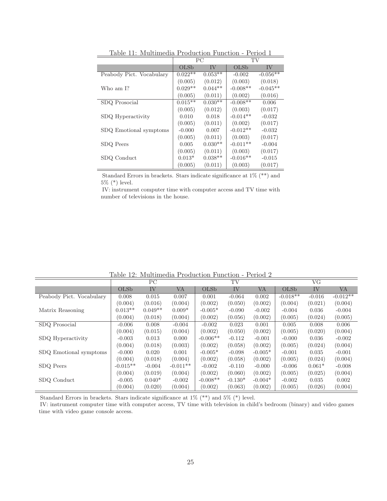|                          |           | РC        |            | TV         |
|--------------------------|-----------|-----------|------------|------------|
|                          | OLSb      | IV        | OLSb       | IV         |
| Peabody Pict. Vocabulary | $0.022**$ | $0.053**$ | $-0.002$   | $-0.056**$ |
|                          | (0.005)   | (0.012)   | (0.003)    | (0.018)    |
| Who am I?                | $0.029**$ | $0.044**$ | $-0.008**$ | $-0.045**$ |
|                          | (0.005)   | (0.011)   | (0.002)    | (0.016)    |
| SDQ Prosocial            | $0.015**$ | $0.030**$ | $-0.008**$ | 0.006      |
|                          | (0.005)   | (0.012)   | (0.003)    | (0.017)    |
| SDQ Hyperactivity        | 0.010     | 0.018     | $-0.014**$ | $-0.032$   |
|                          | (0.005)   | (0.011)   | (0.002)    | (0.017)    |
| SDQ Emotional symptoms   | $-0.000$  | 0.007     | $-0.012**$ | $-0.032$   |
|                          | (0.005)   | (0.011)   | (0.003)    | (0.017)    |
| SDQ Peers                | 0.005     | $0.030**$ | $-0.011**$ | $-0.004$   |
|                          | (0.005)   | (0.011)   | (0.003)    | (0.017)    |
| SDQ Conduct              | $0.013*$  | $0.038**$ | $-0.016**$ | $-0.015$   |
|                          | (0.005)   | (0.011)   | (0.003)    | (0.017)    |

<span id="page-24-0"></span>Table 11: Multimedia Production Function - Period 1

Standard Errors in brackets. Stars indicate significance at 1% (\*\*) and 5% (\*) level.

IV: instrument computer time with computer access and TV time with number of televisions in the house.

| таріс т2. іншицісціа і годасноп і апсион<br>$1 \text{cm} \omega$ |            |           |            |            |           |           |            |          |            |
|------------------------------------------------------------------|------------|-----------|------------|------------|-----------|-----------|------------|----------|------------|
|                                                                  | PC         |           |            | TV         |           |           | VG         |          |            |
|                                                                  | OLSb       | IV        | VA         | OLSb       | IV        | VA        | OLSb       | IV       | VA         |
| Peabody Pict. Vocabulary                                         | 0.008      | 0.015     | 0.007      | 0.001      | $-0.064$  | 0.002     | $-0.018**$ | $-0.016$ | $-0.012**$ |
|                                                                  | (0.004)    | (0.016)   | (0.004)    | (0.002)    | (0.050)   | (0.002)   | (0.004)    | (0.021)  | (0.004)    |
| Matrix Reasoning                                                 | $0.013**$  | $0.049**$ | $0.009*$   | $-0.005*$  | $-0.090$  | $-0.002$  | $-0.004$   | 0.036    | $-0.004$   |
|                                                                  | (0.004)    | (0.018)   | (0.004)    | (0.002)    | (0.056)   | (0.002)   | (0.005)    | (0.024)  | (0.005)    |
| SDQ Prosocial                                                    | $-0.006$   | 0.008     | $-0.004$   | $-0.002$   | 0.023     | 0.001     | 0.005      | 0.008    | 0.006      |
|                                                                  | (0.004)    | (0.015)   | (0.004)    | (0.002)    | (0.050)   | (0.002)   | (0.005)    | (0.020)  | (0.004)    |
| SDQ Hyperactivity                                                | $-0.003$   | 0.013     | 0.000      | $-0.006**$ | $-0.112$  | $-0.001$  | $-0.000$   | 0.036    | $-0.002$   |
|                                                                  | (0.004)    | (0.018)   | (0.003)    | (0.002)    | (0.058)   | (0.002)   | (0.005)    | (0.024)  | (0.004)    |
| SDQ Emotional symptoms                                           | $-0.000$   | 0.020     | 0.001      | $-0.005*$  | $-0.098$  | $-0.005*$ | $-0.001$   | 0.035    | $-0.001$   |
|                                                                  | (0.004)    | (0.018)   | (0.004)    | (0.002)    | (0.058)   | (0.002)   | (0.005)    | (0.024)  | (0.004)    |
| SDQ Peers                                                        | $-0.015**$ | $-0.004$  | $-0.011**$ | $-0.002$   | $-0.110$  | $-0.000$  | $-0.006$   | $0.061*$ | $-0.008$   |
|                                                                  | (0.004)    | (0.019)   | (0.004)    | (0.002)    | (0.060)   | (0.002)   | (0.005)    | (0.025)  | (0.004)    |
| SDQ Conduct                                                      | $-0.005$   | $0.040*$  | $-0.002$   | $-0.008**$ | $-0.130*$ | $-0.004*$ | $-0.002$   | 0.035    | 0.002      |
|                                                                  | (0.004)    | (0.020)   | (0.004)    | (0.002)    | (0.063)   | (0.002)   | (0.005)    | (0.026)  | (0.004)    |

<span id="page-24-1"></span>Table 12: Multimedia Production Function - Period 2

Standard Errors in brackets. Stars indicate significance at 1% (\*\*) and 5% (\*) level.

IV: instrument computer time with computer access, TV time with television in child's bedroom (binary) and video games time with video game console access.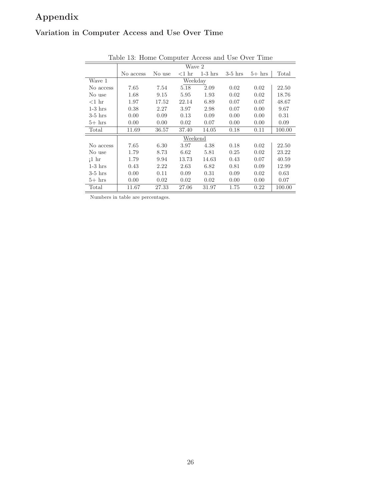# **Appendix**

## **Variation in Computer Access and Use Over Time**

| rable to: frome Computer Access and Ose Over Time |           |         |          |           |           |          |        |  |
|---------------------------------------------------|-----------|---------|----------|-----------|-----------|----------|--------|--|
|                                                   | Wave 2    |         |          |           |           |          |        |  |
|                                                   | No access | No use  | $<$ 1 hr | $1-3$ hrs | $3-5$ hrs | $5+$ hrs | Total  |  |
| Wave 1                                            |           | Weekday |          |           |           |          |        |  |
| No access                                         | 7.65      | 7.54    | 5.18     | 2.09      | 0.02      | 0.02     | 22.50  |  |
| No use                                            | 1.68      | 9.15    | 5.95     | 1.93      | 0.02      | 0.02     | 18.76  |  |
| $<$ 1 hr                                          | 1.97      | 17.52   | 22.14    | 6.89      | 0.07      | 0.07     | 48.67  |  |
| $1-3$ hrs                                         | 0.38      | 2.27    | 3.97     | 2.98      | 0.07      | 0.00     | 9.67   |  |
| $3-5$ hrs                                         | 0.00      | 0.09    | 0.13     | 0.09      | 0.00      | 0.00     | 0.31   |  |
| $5+$ hrs                                          | 0.00      | 0.00    | 0.02     | 0.07      | 0.00      | 0.00     | 0.09   |  |
| Total                                             | 11.69     | 36.57   | 37.40    | 14.05     | 0.18      | 0.11     | 100.00 |  |
|                                                   | Weekend   |         |          |           |           |          |        |  |
| No access                                         | 7.65      | 6.30    | 3.97     | 4.38      | 0.18      | 0.02     | 22.50  |  |
| No use                                            | 1.79      | 8.73    | 6.62     | 5.81      | 0.25      | 0.02     | 23.22  |  |
| 1hr                                               | 1.79      | 9.94    | 13.73    | 14.63     | 0.43      | 0.07     | 40.59  |  |
| $1-3$ hrs                                         | 0.43      | 2.22    | 2.63     | 6.82      | 0.81      | 0.09     | 12.99  |  |
| $3-5$ hrs                                         | 0.00      | 0.11    | 0.09     | 0.31      | 0.09      | 0.02     | 0.63   |  |
| $5+$ hrs                                          | 0.00      | 0.02    | 0.02     | 0.02      | 0.00      | 0.00     | 0.07   |  |
| Total                                             | 11.67     | 27.33   | 27.06    | 31.97     | 1.75      | 0.22     | 100.00 |  |

<span id="page-25-0"></span>Table 13: Home Computer Access and Use Over Time

Numbers in table are percentages.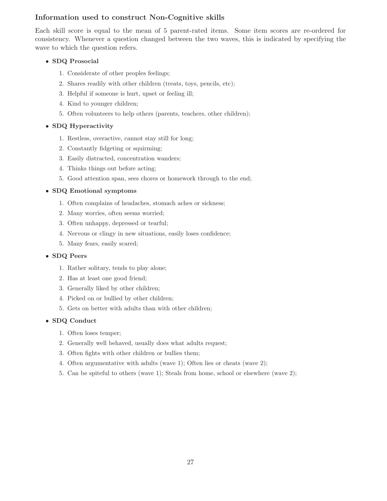## **Information used to construct Non-Cognitive skills**

Each skill score is equal to the mean of 5 parent-rated items. Some item scores are re-ordered for consistency. Whenever a question changed between the two waves, this is indicated by specifying the wave to which the question refers.

## • **SDQ Prosocial**

- 1. Considerate of other peoples feelings;
- 2. Shares readily with other children (treats, toys, pencils, etc);
- 3. Helpful if someone is hurt, upset or feeling ill;
- 4. Kind to younger children;
- 5. Often volunteers to help others (parents, teachers, other children);

#### • **SDQ Hyperactivity**

- 1. Restless, overactive, cannot stay still for long;
- 2. Constantly fidgeting or squirming;
- 3. Easily distracted, concentration wanders;
- 4. Thinks things out before acting;
- 5. Good attention span, sees chores or homework through to the end;

#### • **SDQ Emotional symptoms**

- 1. Often complains of headaches, stomach aches or sickness;
- 2. Many worries, often seems worried;
- 3. Often unhappy, depressed or tearful;
- 4. Nervous or clingy in new situations, easily loses confidence;
- 5. Many fears, easily scared;

## • **SDQ Peers**

- 1. Rather solitary, tends to play alone;
- 2. Has at least one good friend;
- 3. Generally liked by other children;
- 4. Picked on or bullied by other children;
- 5. Gets on better with adults than with other children;

## • **SDQ Conduct**

- 1. Often loses temper;
- 2. Generally well behaved, usually does what adults request;
- 3. Often fights with other children or bullies them;
- 4. Often argumentative with adults (wave 1); Often lies or cheats (wave 2);
- 5. Can be spiteful to others (wave 1); Steals from home, school or elsewhere (wave 2);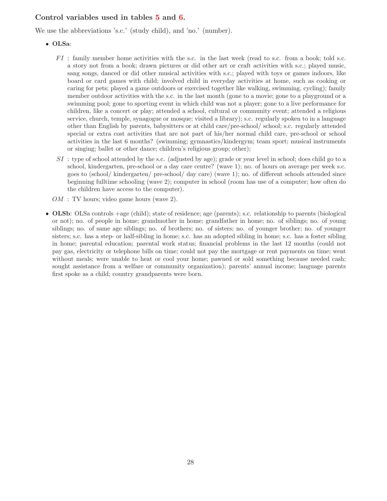## **Control variables used in tables [5](#page-13-0) and [6.](#page-15-0)**

We use the abbreviations 's.c.' (study child), and 'no.' (number).

- **OLSa**:
	- $FI$ : family member home activities with the s.c. in the last week (read to s.c. from a book; told s.c. a story not from a book; drawn pictures or did other art or craft activities with s.c.; played music, sang songs, danced or did other musical activities with s.c.; played with toys or games indoors, like board or card games with child; involved child in everyday activities at home, such as cooking or caring for pets; played a game outdoors or exercised together like walking, swimming, cycling); family member outdoor activities with the s.c. in the last month (gone to a movie; gone to a playground or a swimming pool; gone to sporting event in which child was not a player; gone to a live performance for children, like a concert or play; attended a school, cultural or community event; attended a religious service, church, temple, synagogue or mosque; visited a library); s.c. regularly spoken to in a language other than English by parents, babysitters or at child care/pre-school/ school; s.c. regularly attended special or extra cost activities that are not part of his/her normal child care, pre-school or school activities in the last 6 months? (swimming; gymnastics/kindergym; team sport; musical instruments or singing; ballet or other dance; children's religious group; other);
	- $SI$ : type of school attended by the s.c. (adjusted by age); grade or year level in school; does child go to a school, kindergarten, pre-school or a day care centre? (wave 1); no. of hours on average per week s.c. goes to (school/ kindergarten/ pre-school/ day care) (wave 1); no. of different schools attended since beginning fulltime schooling (wave 2); computer in school (room has use of a computer; how often do the children have access to the computer).
	- $OM: TV$  hours; video game hours (wave 2).
- **OLSb**: OLSa controls +age (child); state of residence; age (parents); s.c. relationship to parents (biological or not); no. of people in home; grandmother in home; grandfather in home; no. of siblings; no. of young siblings; no. of same age siblings; no. of brothers; no. of sisters; no. of younger brother; no. of younger sisters; s.c. has a step- or half-sibling in home; s.c. has an adopted sibling in home; s.c. has a foster sibling in home; parental education; parental work status; financial problems in the last 12 months (could not pay gas, electricity or telephone bills on time; could not pay the mortgage or rent payments on time; went without meals; were unable to heat or cool your home; pawned or sold something because needed cash; sought assistance from a welfare or community organization); parents' annual income; language parents first spoke as a child; country grandparents were born.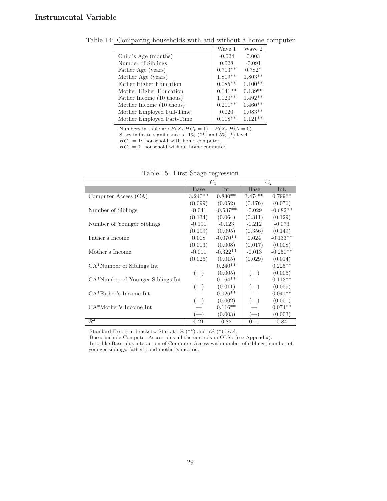<span id="page-28-0"></span>

|                           | Wave 1    | Wave 2    |
|---------------------------|-----------|-----------|
| Child's Age (months)      | $-0.024$  | 0.003     |
| Number of Siblings        | 0.028     | $-0.091$  |
| Father Age (years)        | $0.713**$ | $0.782*$  |
| Mother Age (years)        | $1.819**$ | $1.803**$ |
| Father Higher Education   | $0.085**$ | $0.100**$ |
| Mother Higher Education   | $0.141**$ | $0.139**$ |
| Father Income (10 thous)  | $1.120**$ | $1.492**$ |
| Mother Income (10 thous)  | $0.211**$ | $0.460**$ |
| Mother Employed Full-Time | 0.020     | $0.083**$ |
| Mother Employed Part-Time | $0.118**$ | $0.121**$ |

Table 14: Comparing households with and without a home computer

Numbers in table are  $E(X_t|HC_t = 1) - E(X_t|HC_t = 0)$ .

Stars indicate significance at  $1\%$  (\*\*) and  $5\%$  (\*) level.

 $HC_1 = 1$ : household with home computer.

 $HC_1 = 0$ : household without home computer.

|                                   | $C_1$       |            | $C_2$       |            |
|-----------------------------------|-------------|------------|-------------|------------|
|                                   | <b>Base</b> | Int.       | <b>Base</b> | Int.       |
| Computer Access (CA)              | $3.240**$   | $0.830**$  | $3.474**$   | $0.799**$  |
|                                   | (0.099)     | (0.052)    | (0.176)     | (0.076)    |
| Number of Siblings                | $-0.041$    | $-0.537**$ | $-0.029$    | $-0.682**$ |
|                                   | (0.134)     | (0.064)    | (0.311)     | (0.129)    |
| Number of Younger Siblings        | $-0.191$    | $-0.123$   | $-0.212$    | $-0.073$   |
|                                   | (0.199)     | (0.095)    | (0.356)     | (0.149)    |
| Father's Income                   | 0.008       | $-0.070**$ | 0.024       | $-0.133**$ |
|                                   | (0.013)     | (0.008)    | (0.017)     | (0.008)    |
| Mother's Income                   | $-0.011$    | $-0.322**$ | $-0.013$    | $-0.250**$ |
|                                   | (0.025)     | (0.015)    | (0.029)     | (0.014)    |
| CA*Number of Siblings Int         |             | $0.240**$  |             | $0.225**$  |
|                                   | $(-)$       | (0.005)    | $(-)$       | (0.005)    |
| CA*Number of Younger Siblings Int |             | $0.164**$  |             | $0.113**$  |
|                                   | $(-)$       | (0.011)    | $(-)$       | (0.009)    |
| CA*Father's Income Int            |             | $0.026**$  |             | $0.041**$  |
|                                   | $(-)$       | (0.002)    | $(-)$       | (0.001)    |
| CA*Mother's Income Int            |             | $0.116**$  |             | $0.074**$  |
|                                   |             | (0.003)    |             | (0.003)    |
| $\bar{R}^2$                       | 0.21        | 0.82       | 0.10        | 0.84       |

<span id="page-28-1"></span>

|  |  | Table 15: First Stage regression |
|--|--|----------------------------------|
|  |  |                                  |

Standard Errors in brackets. Star at 1% (\*\*) and 5% (\*) level.

Base: include Computer Access plus all the controls in OLSb (see Appendix).

Int.: like Base plus interaction of Computer Access with number of siblings, number of younger siblings, father's and mother's income.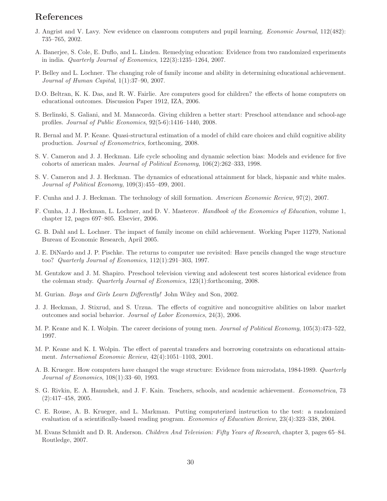## **References**

- <span id="page-29-17"></span>J. Angrist and V. Lavy. New evidence on classroom computers and pupil learning. *Economic Journal*, 112(482): 735–765, 2002.
- <span id="page-29-19"></span>A. Banerjee, S. Cole, E. Duflo, and L. Linden. Remedying education: Evidence from two randomized experiments in india. *Quarterly Journal of Economics*, 122(3):1235–1264, 2007.
- <span id="page-29-9"></span>P. Belley and L. Lochner. The changing role of family income and ability in determining educational achievement. *Journal of Human Capital*, 1(1):37–90, 2007.
- <span id="page-29-16"></span>D.O. Beltran, K. K. Das, and R. W. Fairlie. Are computers good for children? the effects of home computers on educational outcomes. Discussion Paper 1912, IZA, 2006.
- <span id="page-29-11"></span>S. Berlinski, S. Galiani, and M. Manacorda. Giving children a better start: Preschool attendance and school-age profiles. *Journal of Public Economics*, 92(5-6):1416–1440, 2008.
- <span id="page-29-10"></span>R. Bernal and M. P. Keane. Quasi-structural estimation of a model of child care choices and child cognitive ability production. *Journal of Econometrics*, forthcoming, 2008.
- <span id="page-29-2"></span>S. V. Cameron and J. J. Heckman. Life cycle schooling and dynamic selection bias: Models and evidence for five cohorts of american males. *Journal of Political Economy*, 106(2):262–333, 1998.
- <span id="page-29-3"></span>S. V. Cameron and J. J. Heckman. The dynamics of educational attainment for black, hispanic and white males. *Journal of Political Economy*, 109(3):455–499, 2001.
- <span id="page-29-6"></span>F. Cunha and J. J. Heckman. The technology of skill formation. *American Economic Review*, 97(2), 2007.
- <span id="page-29-5"></span>F. Cunha, J. J. Heckman, L. Lochner, and D. V. Masterov. *Handbook of the Economics of Education*, volume 1, chapter 12, pages 697–805. Elsevier, 2006.
- <span id="page-29-8"></span>G. B. Dahl and L. Lochner. The impact of family income on child achievement. Working Paper 11279, National Bureau of Economic Research, April 2005.
- <span id="page-29-15"></span>J. E. DiNardo and J. P. Pischke. The returns to computer use revisited: Have pencils changed the wage structure too? *Quarterly Journal of Economics*, 112(1):291–303, 1997.
- <span id="page-29-12"></span>M. Gentzkow and J. M. Shapiro. Preschool television viewing and adolescent test scores historical evidence from the coleman study. *Quarterly Journal of Economics*, 123(1):forthcoming, 2008.
- <span id="page-29-20"></span>M. Gurian. *Boys and Girls Learn Differently!* John Wiley and Son, 2002.
- <span id="page-29-4"></span>J. J. Heckman, J. Stixrud, and S. Urzua. The effects of cognitive and noncognitive abilities on labor market outcomes and social behavior. *Journal of Labor Economics*, 24(3), 2006.
- <span id="page-29-0"></span>M. P. Keane and K. I. Wolpin. The career decisions of young men. *Journal of Political Economy*, 105(3):473–522, 1997.
- <span id="page-29-1"></span>M. P. Keane and K. I. Wolpin. The effect of parental transfers and borrowing constraints on educational attainment. *International Economic Review*, 42(4):1051–1103, 2001.
- <span id="page-29-14"></span>A. B. Krueger. How computers have changed the wage structure: Evidence from microdata, 1984-1989. *Quarterly Journal of Economics*, 108(1):33–60, 1993.
- <span id="page-29-7"></span>S. G. Rivkin, E. A. Hanushek, and J. F. Kain. Teachers, schools, and academic achievement. *Econometrica*, 73 (2):417–458, 2005.
- <span id="page-29-18"></span>C. E. Rouse, A. B. Krueger, and L. Markman. Putting computerized instruction to the test: a randomized evaluation of a scientifically-based reading program. *Economics of Education Review*, 23(4):323–338, 2004.
- <span id="page-29-13"></span>M. Evans Schmidt and D. R. Anderson. *Children And Television: Fifty Years of Research*, chapter 3, pages 65–84. Routledge, 2007.